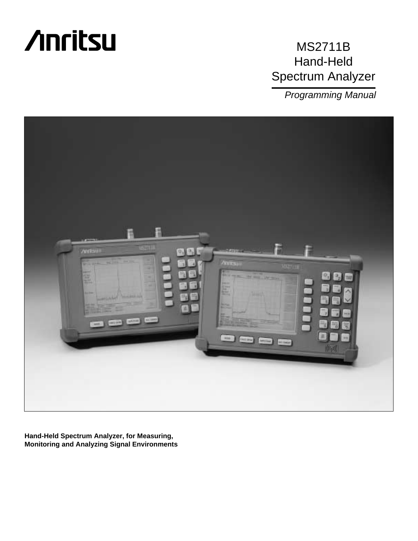

# MS2711B Hand-Held Spectrum Analyzer

Programming Manual



**Hand-Held Spectrum Analyzer, for Measuring, Monitoring and Analyzing Signal Environments**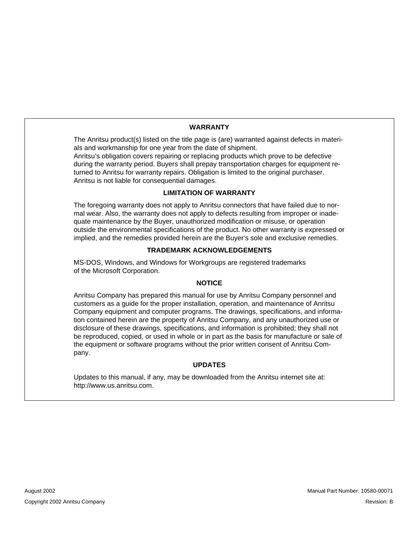#### **WARRANTY**

The Anritsu product(s) listed on the title page is (are) warranted against defects in materials and workmanship for one year from the date of shipment.

Anritsu's obligation covers repairing or replacing products which prove to be defective during the warranty period. Buyers shall prepay transportation charges for equipment returned to Anritsu for warranty repairs. Obligation is limited to the original purchaser. Anritsu is not liable for consequential damages.

#### **LIMITATION OF WARRANTY**

The foregoing warranty does not apply to Anritsu connectors that have failed due to normal wear. Also, the warranty does not apply to defects resulting from improper or inadequate maintenance by the Buyer, unauthorized modification or misuse, or operation outside the environmental specifications of the product. No other warranty is expressed or implied, and the remedies provided herein are the Buyer's sole and exclusive remedies.

#### **TRADEMARK ACKNOWLEDGEMENTS**

MS-DOS, Windows, and Windows for Workgroups are registered trademarks of the Microsoft Corporation.

#### **NOTICE**

Anritsu Company has prepared this manual for use by Anritsu Company personnel and customers as a guide for the proper installation, operation, and maintenance of Anritsu Company equipment and computer programs. The drawings, specifications, and information contained herein are the property of Anritsu Company, and any unauthorized use or disclosure of these drawings, specifications, and information is prohibited; they shall not be reproduced, copied, or used in whole or in part as the basis for manufacture or sale of the equipment or software programs without the prior written consent of Anritsu Company.

#### **UPDATES**

Updates to this manual, if any, may be downloaded from the Anritsu internet site at: http://www.us.anritsu.com.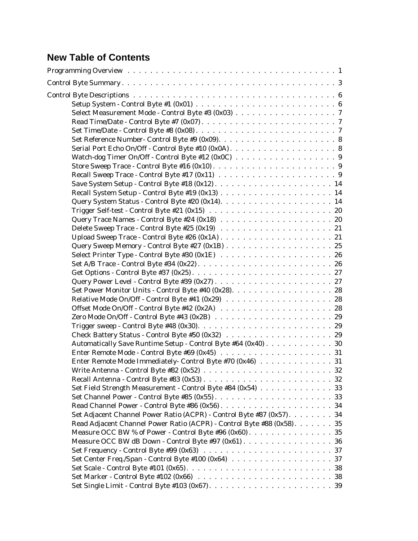# **New Table of Contents**

| Select Measurement Mode - Control Byte #3 (0x03) 7                     |  |
|------------------------------------------------------------------------|--|
|                                                                        |  |
|                                                                        |  |
|                                                                        |  |
|                                                                        |  |
|                                                                        |  |
|                                                                        |  |
|                                                                        |  |
|                                                                        |  |
|                                                                        |  |
|                                                                        |  |
|                                                                        |  |
|                                                                        |  |
|                                                                        |  |
|                                                                        |  |
|                                                                        |  |
|                                                                        |  |
|                                                                        |  |
|                                                                        |  |
|                                                                        |  |
|                                                                        |  |
|                                                                        |  |
|                                                                        |  |
|                                                                        |  |
|                                                                        |  |
|                                                                        |  |
| Automatically Save Runtime Setup - Control Byte #64 (0x40) 30          |  |
|                                                                        |  |
| Enter Remote Mode Immediately- Control Byte #70 (0x46) 31              |  |
|                                                                        |  |
|                                                                        |  |
| Set Field Strength Measurement - Control Byte #84 (0x54) 33            |  |
|                                                                        |  |
|                                                                        |  |
| Set Adjacent Channel Power Ratio (ACPR) - Control Byte #87 (0x57). 34  |  |
| Read Adjacent Channel Power Ratio (ACPR) - Control Byte #88 (0x58). 35 |  |
|                                                                        |  |
| Measure OCC BW dB Down - Control Byte #97 (0x61) 36                    |  |
|                                                                        |  |
|                                                                        |  |
|                                                                        |  |
|                                                                        |  |
|                                                                        |  |
|                                                                        |  |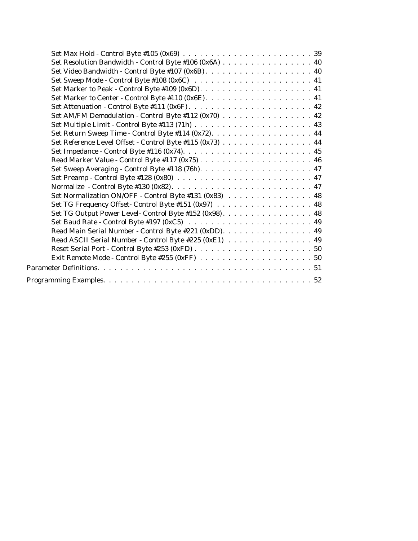| Set Resolution Bandwidth - Control Byte #106 (0x6A) 40   |
|----------------------------------------------------------|
|                                                          |
|                                                          |
|                                                          |
|                                                          |
|                                                          |
| Set AM/FM Demodulation - Control Byte #112 (0x70) 42     |
|                                                          |
| Set Return Sweep Time - Control Byte #114 (0x72). 44     |
| Set Reference Level Offset - Control Byte #115 (0x73) 44 |
|                                                          |
|                                                          |
|                                                          |
|                                                          |
|                                                          |
| Set Normalization ON/OFF - Control Byte #131 (0x83) 48   |
| Set TG Frequency Offset-Control Byte #151 (0x97) 48      |
| Set TG Output Power Level- Control Byte #152 (0x98). 48  |
|                                                          |
| Read Main Serial Number - Control Byte #221 (0xDD). 49   |
| Read ASCII Serial Number - Control Byte #225 (0xE1) 49   |
|                                                          |
|                                                          |
|                                                          |
|                                                          |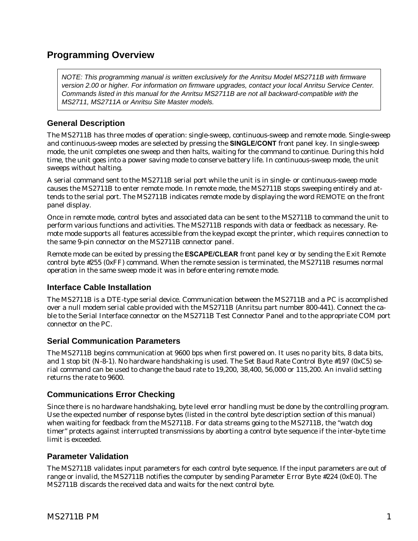## <span id="page-4-0"></span>**Programming Overview**

NOTE: This programming manual is written exclusively for the Anritsu Model MS2711B with firmware version 2.00 or higher. For information on firmware upgrades, contact your local Anritsu Service Center. Commands listed in this manual for the Anritsu MS2711B are not all backward-compatible with the MS2711, MS2711A or Anritsu Site Master models.

## **General Description**

The MS2711B has three modes of operation: single-sweep, continuous-sweep and remote mode. Single-sweep and continuous-sweep modes are selected by pressing the **SINGLE/CONT** front panel key. In single-sweep mode, the unit completes one sweep and then halts, waiting for the command to continue. During this hold time, the unit goes into a power saving mode to conserve battery life. In continuous-sweep mode, the unit sweeps without halting.

A serial command sent to the MS2711B serial port while the unit is in single- or continuous-sweep mode causes the MS2711B to enter remote mode. In remote mode, the MS2711B stops sweeping entirely and attends to the serial port. The MS2711B indicates remote mode by displaying the word REMOTE on the front panel display.

Once in remote mode, control bytes and associated data can be sent to the MS2711B to command the unit to perform various functions and activities. The MS2711B responds with data or feedback as necessary. Remote mode supports all features accessible from the keypad except the printer, which requires connection to the same 9-pin connector on the MS2711B connector panel.

Remote mode can be exited by pressing the **ESCAPE/CLEAR** front panel key or by sending the Exit Remote control byte #255 (0xFF) command. When the remote session is terminated, the MS2711B resumes normal operation in the same sweep mode it was in before entering remote mode.

## **Interface Cable Installation**

The MS2711B is a DTE-type serial device. Communication between the MS2711B and a PC is accomplished over a null modem serial cable provided with the MS2711B (Anritsu part number 800-441). Connect the cable to the Serial Interface connector on the MS2711B Test Connector Panel and to the appropriate COM port connector on the PC.

## **Serial Communication Parameters**

The MS2711B begins communication at 9600 bps when first powered on. It uses no parity bits, 8 data bits, and 1 stop bit (N-8-1). No hardware handshaking is used. The Set Baud Rate Control Byte #197 (0xC5) serial command can be used to change the baud rate to 19,200, 38,400, 56,000 or 115,200. An invalid setting returns the rate to 9600.

## **Communications Error Checking**

Since there is no hardware handshaking, byte level error handling must be done by the controlling program. Use the expected number of response bytes (listed in the control byte description section of this manual) when waiting for feedback from the MS2711B. For data streams going to the MS2711B, the "watch dog timer" protects against interrupted transmissions by aborting a control byte sequence if the inter-byte time limit is exceeded.

## **Parameter Validation**

The MS2711B validates input parameters for each control byte sequence. If the input parameters are out of range or invalid, the MS2711B notifies the computer by sending Parameter Error Byte #224 (0xE0). The MS2711B discards the received data and waits for the next control byte.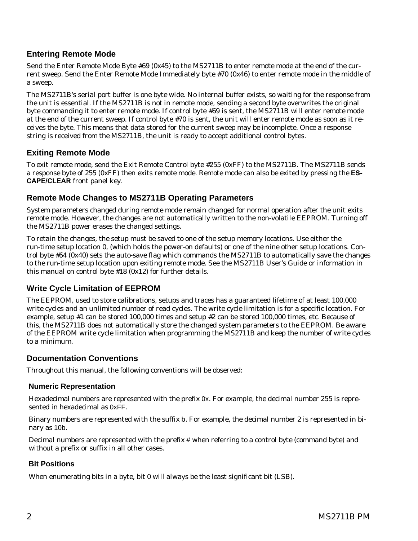## **Entering Remote Mode**

Send the Enter Remote Mode Byte #69 (0x45) to the MS2711B to enter remote mode at the end of the current sweep. Send the Enter Remote Mode Immediately byte #70 (0x46) to enter remote mode in the middle of a sweep.

The MS2711B's serial port buffer is one byte wide. No internal buffer exists, so waiting for the response from the unit is essential. If the MS2711B is not in remote mode, sending a second byte overwrites the original byte commanding it to enter remote mode. If control byte #69 is sent, the MS2711B will enter remote mode at the end of the current sweep. If control byte #70 is sent, the unit will enter remote mode as soon as it receives the byte. This means that data stored for the current sweep may be incomplete. Once a response string is received from the MS2711B, the unit is ready to accept additional control bytes.

## **Exiting Remote Mode**

To exit remote mode, send the Exit Remote Control byte #255 (0xFF) to the MS2711B. The MS2711B sends a response byte of 255 (0xFF) then exits remote mode. Remote mode can also be exited by pressing the **ES-CAPE/CLEAR** front panel key.

## **Remote Mode Changes to MS2711B Operating Parameters**

System parameters changed during remote mode remain changed for normal operation after the unit exits remote mode. However, the changes are not automatically written to the non-volatile EEPROM. Turning off the MS2711B power erases the changed settings.

To retain the changes, the setup must be saved to one of the setup memory locations. Use either the run-time setup location 0, (which holds the power-on defaults) or one of the nine other setup locations. Control byte #64 (0x40) sets the auto-save flag which commands the MS2711B to automatically save the changes to the run-time setup location upon exiting remote mode. See the MS2711B User's Guide or information in this manual on control byte  $#18 (0x12)$  for further details.

## **Write Cycle Limitation of EEPROM**

The EEPROM, used to store calibrations, setups and traces has a guaranteed lifetime of at least 100,000 write cycles and an unlimited number of read cycles. The write cycle limitation is for a specific location. For example, setup #1 can be stored 100,000 times and setup #2 can be stored 100,000 times, etc. Because of this, the MS2711B does not automatically store the changed system parameters to the EEPROM. Be aware of the EEPROM write cycle limitation when programming the MS2711B and keep the number of write cycles to a minimum.

## **Documentation Conventions**

Throughout this manual, the following conventions will be observed:

## **Numeric Representation**

Hexadecimal numbers are represented with the prefix 0x. For example, the decimal number 255 is represented in hexadecimal as 0xFF.

Binary numbers are represented with the suffix b. For example, the decimal number 2 is represented in binary as 10b.

Decimal numbers are represented with the prefix # when referring to a control byte (command byte) and without a prefix or suffix in all other cases.

## **Bit Positions**

When enumerating bits in a byte, bit 0 will always be the least significant bit (LSB).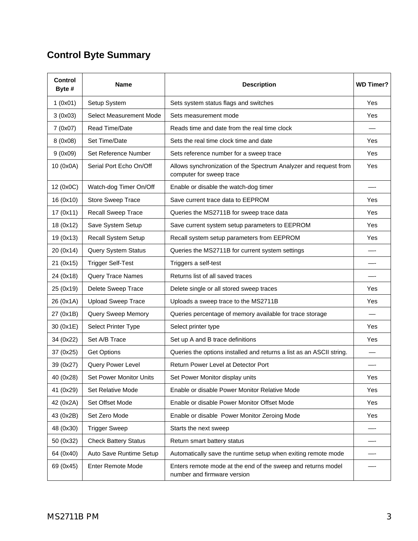# <span id="page-6-0"></span>**Control Byte Summary**

| <b>Control</b><br>Byte # | <b>Name</b>                 | <b>Description</b>                                                                           | <b>WD Timer?</b> |
|--------------------------|-----------------------------|----------------------------------------------------------------------------------------------|------------------|
| 1(0x01)                  | Setup System                | Sets system status flags and switches                                                        | Yes              |
| 3(0x03)                  | Select Measurement Mode     | Sets measurement mode                                                                        | Yes              |
| 7 (0x07)                 | Read Time/Date              | Reads time and date from the real time clock                                                 |                  |
| 8 (0x08)                 | Set Time/Date               | Sets the real time clock time and date                                                       | Yes              |
| 9(0x09)                  | Set Reference Number        | Sets reference number for a sweep trace                                                      | Yes              |
| 10 (0x0A)                | Serial Port Echo On/Off     | Allows synchronization of the Spectrum Analyzer and request from<br>computer for sweep trace | Yes              |
| 12 (0x0C)                | Watch-dog Timer On/Off      | Enable or disable the watch-dog timer                                                        |                  |
| 16 (0x10)                | Store Sweep Trace           | Save current trace data to EEPROM                                                            | Yes              |
| 17 (0x11)                | Recall Sweep Trace          | Queries the MS2711B for sweep trace data                                                     | Yes              |
| 18 (0x12)                | Save System Setup           | Save current system setup parameters to EEPROM                                               | Yes              |
| 19 (0x13)                | Recall System Setup         | Recall system setup parameters from EEPROM                                                   | Yes              |
| 20 (0x14)                | <b>Query System Status</b>  | Queries the MS2711B for current system settings                                              |                  |
| 21 (0x15)                | <b>Trigger Self-Test</b>    | Triggers a self-test                                                                         |                  |
| 24 (0x18)                | Query Trace Names           | Returns list of all saved traces                                                             |                  |
| 25 (0x19)                | Delete Sweep Trace          | Delete single or all stored sweep traces                                                     | Yes              |
| 26 (0x1A)                | <b>Upload Sweep Trace</b>   | Uploads a sweep trace to the MS2711B                                                         | Yes              |
| 27 (0x1B)                | Query Sweep Memory          | Queries percentage of memory available for trace storage                                     |                  |
| 30 (0x1E)                | Select Printer Type         | Select printer type                                                                          | Yes              |
| 34 (0x22)                | Set A/B Trace               | Set up A and B trace definitions                                                             | Yes              |
| 37 (0x25)                | <b>Get Options</b>          | Queries the options installed and returns a list as an ASCII string.                         |                  |
| 39 (0x27)                | Query Power Level           | Return Power Level at Detector Port                                                          |                  |
| 40 (0x28)                | Set Power Monitor Units     | Set Power Monitor display units                                                              | Yes              |
| 41 (0x29)                | Set Relative Mode           | Enable or disable Power Monitor Relative Mode                                                | Yes              |
| 42 (0x2A)                | Set Offset Mode             | Enable or disable Power Monitor Offset Mode                                                  | Yes              |
| 43 (0x2B)                | Set Zero Mode               | Enable or disable Power Monitor Zeroing Mode                                                 | Yes              |
| 48 (0x30)                | <b>Trigger Sweep</b>        | Starts the next sweep                                                                        |                  |
| 50 (0x32)                | <b>Check Battery Status</b> | Return smart battery status                                                                  |                  |
| 64 (0x40)                | Auto Save Runtime Setup     | Automatically save the runtime setup when exiting remote mode                                |                  |
| 69 (0x45)                | Enter Remote Mode           | Enters remote mode at the end of the sweep and returns model<br>number and firmware version  |                  |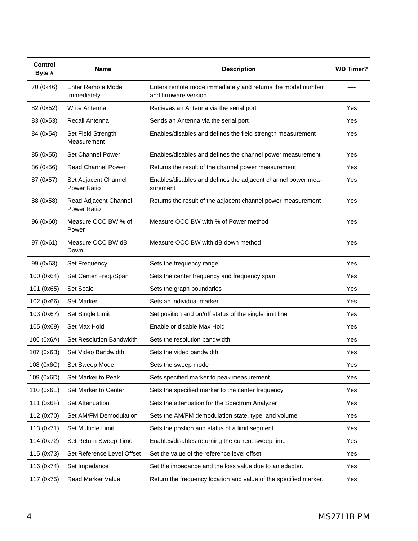| Control<br>Byte # | Name                                    | <b>Description</b>                                                                  | <b>WD Timer?</b> |
|-------------------|-----------------------------------------|-------------------------------------------------------------------------------------|------------------|
| 70 (0x46)         | <b>Enter Remote Mode</b><br>Immediately | Enters remote mode immediately and returns the model number<br>and firmware version |                  |
| 82 (0x52)         | Write Antenna                           | Recieves an Antenna via the serial port                                             | Yes              |
| 83 (0x53)         | Recall Antenna                          | Sends an Antenna via the serial port                                                | Yes              |
| 84 (0x54)         | Set Field Strength<br>Measurement       | Enables/disables and defines the field strength measurement                         | Yes              |
| 85 (0x55)         | Set Channel Power                       | Enables/disables and defines the channel power measurement                          | Yes              |
| 86 (0x56)         | <b>Read Channel Power</b>               | Returns the result of the channel power measurement                                 | Yes              |
| 87 (0x57)         | Set Adjacent Channel<br>Power Ratio     | Enables/disables and defines the adjacent channel power mea-<br>surement            | Yes              |
| 88 (0x58)         | Read Adjacent Channel<br>Power Ratio    | Returns the result of the adjacent channel power measurement                        | Yes              |
| 96 (0x60)         | Measure OCC BW % of<br>Power            | Measure OCC BW with % of Power method                                               | Yes              |
| 97 (0x61)         | Measure OCC BW dB<br>Down               | Measure OCC BW with dB down method                                                  | Yes              |
| 99 (0x63)         | Set Frequency                           | Sets the frequency range                                                            | Yes              |
| 100 (0x64)        | Set Center Freq./Span                   | Sets the center frequency and frequency span                                        | Yes              |
| 101 (0x65)        | Set Scale                               | Sets the graph boundaries                                                           | Yes              |
| 102 (0x66)        | Set Marker                              | Sets an individual marker                                                           | Yes              |
| 103 (0x67)        | Set Single Limit                        | Set position and on/off status of the single limit line                             | Yes              |
| 105 (0x69)        | Set Max Hold                            | Enable or disable Max Hold                                                          | Yes              |
| 106 (0x6A)        | Set Resolution Bandwidth                | Sets the resolution bandwidth                                                       | Yes              |
| 107 (0x6B)        | Set Video Bandwidth                     | Sets the video bandwidth                                                            | Yes              |
| 108 (0x6C)        | Set Sweep Mode                          | Sets the sweep mode                                                                 | Yes              |
| 109 (0x6D)        | Set Marker to Peak                      | Sets specified marker to peak measurement                                           | Yes              |
| 110 (0x6E)        | Set Marker to Center                    | Sets the specified marker to the center frequency                                   | Yes              |
| 111 (0x6F)        | Set Attenuation                         | Sets the attenuation for the Spectrum Analyzer                                      | Yes              |
| 112 (0x70)        | Set AM/FM Demodulation                  | Sets the AM/FM demodulation state, type, and volume                                 | Yes              |
| 113 (0x71)        | Set Multiple Limit                      | Sets the postion and status of a limit segment                                      | Yes              |
| 114 (0x72)        | Set Return Sweep Time                   | Enables/disables returning the current sweep time                                   | Yes              |
| 115 (0x73)        | Set Reference Level Offset              | Set the value of the reference level offset.                                        | Yes              |
| 116 (0x74)        | Set Impedance                           | Set the impedance and the loss value due to an adapter.                             | Yes              |
| 117 (0x75)        | Read Marker Value                       | Return the frequency location and value of the specified marker.                    | Yes              |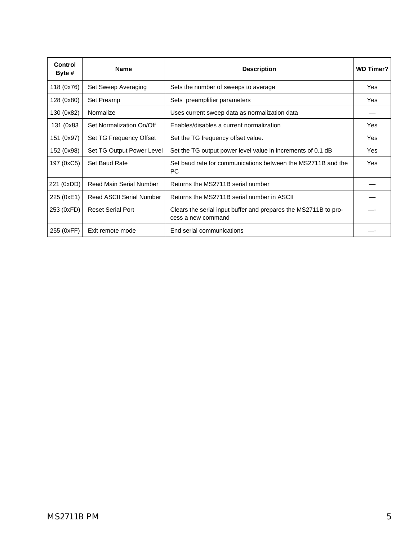| <b>Control</b><br>Byte # | <b>Name</b>                     | <b>Description</b>                                                                    | <b>WD Timer?</b> |
|--------------------------|---------------------------------|---------------------------------------------------------------------------------------|------------------|
| 118 (0x76)               | Set Sweep Averaging             | Sets the number of sweeps to average                                                  | Yes              |
| 128 (0x80)               | Set Preamp                      | Sets preamplifier parameters                                                          | Yes              |
| 130 (0x82)               | Normalize                       | Uses current sweep data as normalization data                                         |                  |
| 131 (0x83)               | Set Normalization On/Off        | Enables/disables a current normalization                                              | Yes              |
| 151 (0x97)               | Set TG Frequency Offset         | Set the TG frequency offset value.                                                    | Yes              |
| 152 (0x98)               | Set TG Output Power Level       | Set the TG output power level value in increments of 0.1 dB                           | Yes              |
| 197 (0xC5)               | Set Baud Rate                   | Set baud rate for communications between the MS2711B and the<br>PC.                   | Yes              |
| 221 (0xDD)               | <b>Read Main Serial Number</b>  | Returns the MS2711B serial number                                                     |                  |
| 225 (0xE1)               | <b>Read ASCII Serial Number</b> | Returns the MS2711B serial number in ASCII                                            |                  |
| 253 (0xFD)               | <b>Reset Serial Port</b>        | Clears the serial input buffer and prepares the MS2711B to pro-<br>cess a new command |                  |
| 255 (0xFF)               | Exit remote mode                | End serial communications                                                             |                  |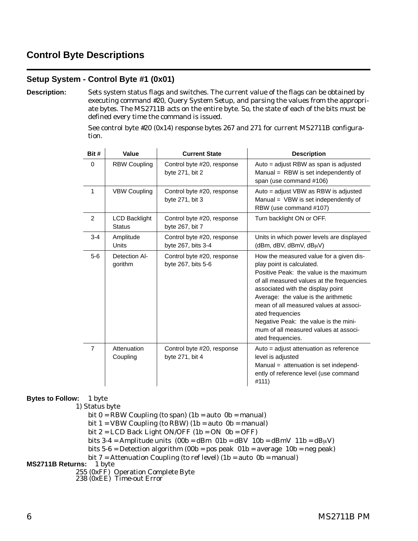## <span id="page-9-0"></span>**Control Byte Descriptions**

## **Setup System - Control Byte #1 (0x01)**

**Description:** Sets system status flags and switches. The current value of the flags can be obtained by executing command #20, Query System Setup, and parsing the values from the appropriate bytes. The MS2711B acts on the entire byte. So, the state of each of the bits must be defined every time the command is issued.

> See control byte #20 (0x14) response bytes 267 and 271 for current MS2711B configuration.

| Bit #          | Value                                 | <b>Current State</b>                             | <b>Description</b>                                                                                                                                                                                                                                                                                                                                                                                             |
|----------------|---------------------------------------|--------------------------------------------------|----------------------------------------------------------------------------------------------------------------------------------------------------------------------------------------------------------------------------------------------------------------------------------------------------------------------------------------------------------------------------------------------------------------|
| $\Omega$       | <b>RBW Coupling</b>                   | Control byte #20, response<br>byte 271, bit 2    | Auto = adjust RBW as span is adjusted<br>Manual = $RBW$ is set independently of<br>span (use command #106)                                                                                                                                                                                                                                                                                                     |
| 1              | <b>VBW Coupling</b>                   | Control byte #20, response<br>byte 271, bit 3    | Auto = adjust VBW as RBW is adjusted<br>Manual = $VBW$ is set independently of<br>RBW (use command #107)                                                                                                                                                                                                                                                                                                       |
| 2              | <b>LCD Backlight</b><br><b>Status</b> | Control byte #20, response<br>byte 267, bit 7    | Turn backlight ON or OFF.                                                                                                                                                                                                                                                                                                                                                                                      |
| $3 - 4$        | Amplitude<br><b>Units</b>             | Control byte #20, response<br>byte 267, bits 3-4 | Units in which power levels are displayed<br>(dBm, dBV, dBmV, dBµV)                                                                                                                                                                                                                                                                                                                                            |
| $5-6$          | Detection Al-<br>gorithm              | Control byte #20, response<br>byte 267, bits 5-6 | How the measured value for a given dis-<br>play point is calculated.<br>Positive Peak: the value is the maximum<br>of all measured values at the frequencies<br>associated with the display point<br>Average: the value is the arithmetic<br>mean of all measured values at associ-<br>ated frequencies<br>Negative Peak: the value is the mini-<br>mum of all measured values at associ-<br>ated frequencies. |
| $\overline{7}$ | Attenuation<br>Coupling               | Control byte #20, response<br>byte 271, bit 4    | Auto = adjust attenuation as reference<br>level is adjusted<br>Manual = attenuation is set independ-<br>ently of reference level (use command<br>#111)                                                                                                                                                                                                                                                         |

#### **Bytes to Follow:** 1 byte

1) Status byte

bit  $0 = RBW$  Coupling (to span) (1b = auto 0b = manual)

bit  $1 = VBW$  Coupling (to RBW) (1b = auto 0b = manual)

bit  $2 = LCD$  Back Light ON/OFF  $(1b = ON \t 0b = OFF)$ 

- bits  $3-4 =$  Amplitude units  $(00b =$ dBm  $01b =$ dBV  $10b =$ dBmV  $11b =$ dB $\mu$ V)
- bits  $5-6$  = Detection algorithm (00b = pos peak  $01b$  = average  $10b$  = neg peak)

bit 7 = Attenuation Coupling (to ref level) (1b = auto 0b = manual) **MS2711B Returns:** 1 byte

255 (0xFF) Operation Complete Byte

238 (0xEE) Time-out Error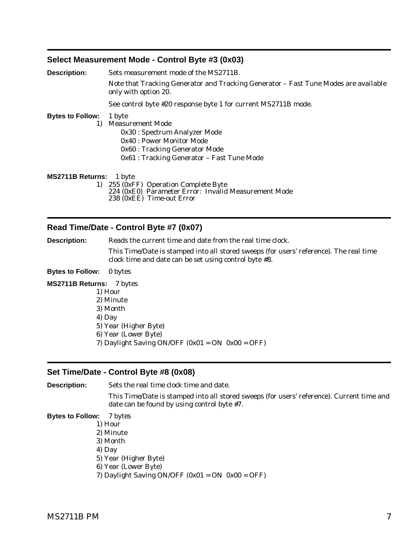#### <span id="page-10-0"></span>**Select Measurement Mode - Control Byte #3 (0x03)**

| <b>Description:</b>     | Sets measurement mode of the MS2711B.                                                                                      |  |  |
|-------------------------|----------------------------------------------------------------------------------------------------------------------------|--|--|
|                         | Note that Tracking Generator and Tracking Generator - Fast Tune Modes are available<br>only with option 20.                |  |  |
|                         | See control byte #20 response byte 1 for current MS2711B mode.                                                             |  |  |
| <b>Bytes to Follow:</b> | 1 byte                                                                                                                     |  |  |
| 1)                      | <b>Measurement Mode</b>                                                                                                    |  |  |
|                         | 0x30 : Spectrum Analyzer Mode                                                                                              |  |  |
|                         | 0x40 : Power Monitor Mode                                                                                                  |  |  |
|                         | 0x60 : Tracking Generator Mode                                                                                             |  |  |
|                         | 0x61 : Tracking Generator – Fast Tune Mode                                                                                 |  |  |
| MS2711B Returns: 1 byte |                                                                                                                            |  |  |
|                         | 1) 255 (0xFF) Operation Complete Byte<br>224 (0xE0) Parameter Error: Invalid Measurement Mode<br>238 (0xEE) Time-out Error |  |  |

## **Read Time/Date - Control Byte #7 (0x07)**

**Description:** Reads the current time and date from the real time clock. This Time/Date is stamped into all stored sweeps (for users' reference). The real time clock time and date can be set using control byte #8. **Bytes to Follow:** 0 bytes **MS2711B Returns:** 7 bytes 1) Hour 2) Minute 3) Month 4) Day 5) Year (Higher Byte) 6) Year (Lower Byte)

## 7) Daylight Saving ON/OFF  $(0x01 = ON \t0x00 = OFF)$

## **Set Time/Date - Control Byte #8 (0x08)**

**Description:** Sets the real time clock time and date.

This Time/Date is stamped into all stored sweeps (for users' reference). Current time and date can be found by using control byte #7.

#### **Bytes to Follow:** 7 bytes

- 1) Hour
- 2) Minute
- 3) Month
- 4) Day
- 5) Year (Higher Byte)
- 6) Year (Lower Byte)
- 7) Daylight Saving ON/OFF  $(0x01 = ON \t0x00 = OFF)$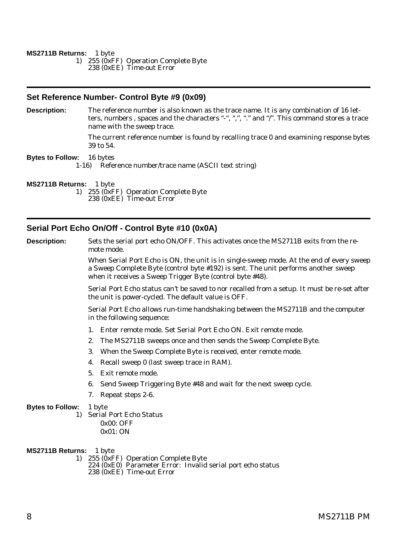#### <span id="page-11-0"></span>**MS2711B Returns:** 1 byte

1) 255 (0xFF) Operation Complete Byte

238 (0xEE) Time-out Error

#### **Set Reference Number- Control Byte #9 (0x09)**

**Description:** The reference number is also known as the trace name. It is any combination of 16 letters, numbers , spaces and the characters "-", ",", "." and "/". This command stores a trace name with the sweep trace.

> The current reference number is found by recalling trace 0 and examining response bytes 39 to 54.

#### **Bytes to Follow:** 16 bytes

1-16) Reference number/trace name (ASCII text string)

#### **MS2711B Returns:** 1 byte

1) 255 (0xFF) Operation Complete Byte 238 (0xEE) Time-out Error

#### **Serial Port Echo On/Off - Control Byte #10 (0x0A)**

**Description:** Sets the serial port echo ON/OFF. This activates once the MS2711B exits from the remote mode.

> When Serial Port Echo is ON, the unit is in single-sweep mode. At the end of every sweep a Sweep Complete Byte (control byte #192) is sent. The unit performs another sweep when it receives a Sweep Trigger Byte (control byte #48).

> Serial Port Echo status can't be saved to nor recalled from a setup. It must be re-set after the unit is power-cycled. The default value is OFF.

Serial Port Echo allows run-time handshaking between the MS2711B and the computer in the following sequence:

- 1. Enter remote mode. Set Serial Port Echo ON. Exit remote mode.
- 2. The MS2711B sweeps once and then sends the Sweep Complete Byte.
- 3. When the Sweep Complete Byte is received, enter remote mode.
- 4. Recall sweep 0 (last sweep trace in RAM).
- 5. Exit remote mode.
- 6. Send Sweep Triggering Byte #48 and wait for the next sweep cycle.
- 7. Repeat steps 2-6.

#### **Bytes to Follow:** 1 byte

1) Serial Port Echo Status 0x00: OFF 0x01: ON

**MS2711B Returns:** 1 byte

1) 255 (0xFF) Operation Complete Byte

224 (0xE0) Parameter Error: Invalid serial port echo status 238 (0xEE) Time-out Error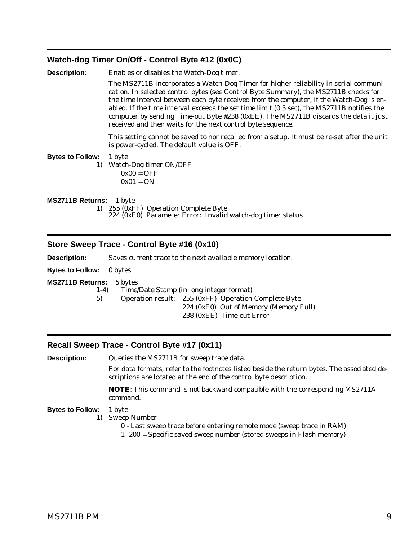## <span id="page-12-0"></span>**Watch-dog Timer On/Off - Control Byte #12 (0x0C)**

| Description:            | Enables or disables the Watch-Dog timer.                                                                                                                                                                                                                                                                                                                                                                                                                                                                                     |
|-------------------------|------------------------------------------------------------------------------------------------------------------------------------------------------------------------------------------------------------------------------------------------------------------------------------------------------------------------------------------------------------------------------------------------------------------------------------------------------------------------------------------------------------------------------|
|                         | The MS2711B incorporates a Watch-Dog Timer for higher reliability in serial communi-<br>cation. In selected control bytes (see Control Byte Summary), the MS2711B checks for<br>the time interval between each byte received from the computer, if the Watch-Dog is en-<br>abled. If the time interval exceeds the set time limit (0.5 sec), the MS2711B notifies the<br>computer by sending Time-out Byte #238 (0xEE). The MS2711B discards the data it just<br>received and then waits for the next control byte sequence. |
|                         | This setting cannot be saved to nor recalled from a setup. It must be re-set after the unit<br>is power-cycled. The default value is OFF.                                                                                                                                                                                                                                                                                                                                                                                    |
| <b>Bytes to Follow:</b> | 1 byte<br>1) Watch-Dog timer ON/OFF<br>$0x00 = OFF$<br>$0x01 = ON$                                                                                                                                                                                                                                                                                                                                                                                                                                                           |
| MS2711B Returns: 1 byte | 1) 255 (0xFF) Operation Complete Byte<br>224 (0xE0) Parameter Error: Invalid watch-dog timer status                                                                                                                                                                                                                                                                                                                                                                                                                          |

## **Store Sweep Trace - Control Byte #16 (0x10)**

**Description:** Saves current trace to the next available memory location.

## **Bytes to Follow:** 0 bytes

#### **MS2711B Returns:** 5 bytes

1-4) Time/Date Stamp (in long integer format)

5) Operation result: 255 (0xFF) Operation Complete Byte 224 (0xE0) Out of Memory (Memory Full) 238 (0xEE) Time-out Error

## **Recall Sweep Trace - Control Byte #17 (0x11)**

| <b>Description:</b>           | Queries the MS2711B for sweep trace data.                                                                                                                         |  |
|-------------------------------|-------------------------------------------------------------------------------------------------------------------------------------------------------------------|--|
|                               | For data formats, refer to the footnotes listed beside the return bytes. The associated de-<br>scriptions are located at the end of the control byte description. |  |
|                               | <b>NOTE:</b> This command is not backward compatible with the corresponding MS2711A<br>command.                                                                   |  |
| <b>Bytes to Follow:</b><br>1) | 1 byte<br><b>Sweep Number</b><br>0 - Last sweep trace before entering remote mode (sweep trace in RAM)                                                            |  |

1- 200 = Specific saved sweep number (stored sweeps in Flash memory)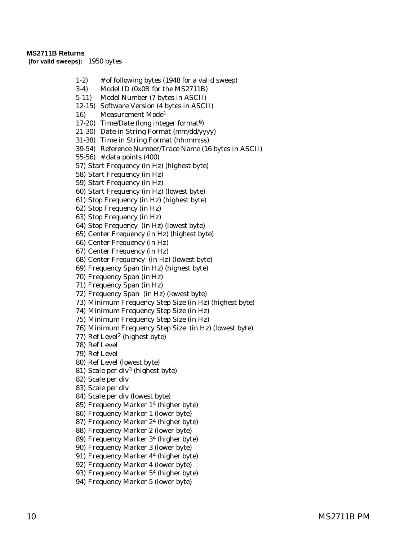#### **MS2711B Returns**

**(for valid sweeps):** 1950 bytes

- 1-2) # of following bytes (1948 for a valid sweep)
- 3-4) Model ID (0x0B for the MS2711B)
- 5-11) Model Number (7 bytes in ASCII)
- 12-15) Software Version (4 bytes in ASCII)
- 16) Measurement Mode1
- 17-20) Time/Date (long integer format6)
- 21-30) Date in String Format (mm/dd/yyyy)
- 31-38) Time in String Format (hh:mm:ss)
- 39-54) Reference Number/Trace Name (16 bytes in ASCII)
- 55-56) # data points (400)
- 57) Start Frequency (in Hz) (highest byte)
- 58) Start Frequency (in Hz)
- 59) Start Frequency (in Hz)
- 60) Start Frequency (in Hz) (lowest byte)
- 61) Stop Frequency (in Hz) (highest byte)
- 62) Stop Frequency (in Hz)
- 63) Stop Frequency (in Hz)
- 64) Stop Frequency (in Hz) (lowest byte)
- 65) Center Frequency (in Hz) (highest byte)
- 66) Center Frequency (in Hz)
- 67) Center Frequency (in Hz)
- 68) Center Frequency (in Hz) (lowest byte)
- 69) Frequency Span (in Hz) (highest byte)
- 70) Frequency Span (in Hz)
- 71) Frequency Span (in Hz)
- 72) Frequency Span (in Hz) (lowest byte)
- 73) Minimum Frequency Step Size (in Hz) (highest byte)
- 74) Minimum Frequency Step Size (in Hz)
- 75) Minimum Frequency Step Size (in Hz)
- 76) Minimum Frequency Step Size (in Hz) (lowest byte)
- 77) Ref Level2 (highest byte)
- 78) Ref Level
- 79) Ref Level
- 80) Ref Level (lowest byte)
- 81) Scale per div3 (highest byte)
- 82) Scale per div
- 83) Scale per div
- 84) Scale per div (lowest byte)
- 85) Frequency Marker 14 (higher byte)
- 86) Frequency Marker 1 (lower byte)
- 87) Frequency Marker 24 (higher byte)
- 88) Frequency Marker 2 (lower byte)
- 89) Frequency Marker 34 (higher byte)
- 90) Frequency Marker 3 (lower byte)
- 91) Frequency Marker 44 (higher byte)
- 92) Frequency Marker 4 (lower byte)
- 93) Frequency Marker 54 (higher byte)
- 94) Frequency Marker 5 (lower byte)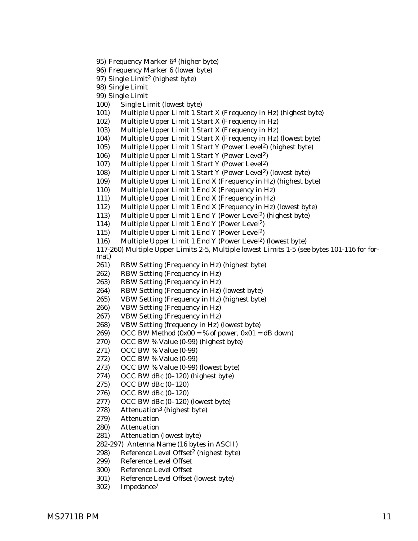- 95) Frequency Marker 64 (higher byte)
- 96) Frequency Marker 6 (lower byte)
- 97) Single Limit<sup>2</sup> (highest byte)

98) Single Limit

- 99) Single Limit
- 100) Single Limit (lowest byte)
- 101) Multiple Upper Limit 1 Start X (Frequency in Hz) (highest byte)
- 102) Multiple Upper Limit 1 Start X (Frequency in Hz)
- 103) Multiple Upper Limit 1 Start X (Frequency in Hz)
- 104) Multiple Upper Limit 1 Start X (Frequency in Hz) (lowest byte)
- 105) Multiple Upper Limit 1 Start Y (Power Level<sup>2</sup>) (highest byte)
- 106) Multiple Upper Limit 1 Start Y (Power Level2)
- 107) Multiple Upper Limit 1 Start Y (Power Level2)
- 108) Multiple Upper Limit 1 Start Y (Power Level<sup>2</sup>) (lowest byte)
- 109) Multiple Upper Limit 1 End X (Frequency in Hz) (highest byte)
- 110) Multiple Upper Limit 1 End X (Frequency in Hz)
- 111) Multiple Upper Limit 1 End X (Frequency in Hz)
- 112) Multiple Upper Limit 1 End X (Frequency in Hz) (lowest byte)
- 113) Multiple Upper Limit 1 End Y (Power Level2) (highest byte)
- 114) Multiple Upper Limit 1 End Y (Power Level2)
- 115) Multiple Upper Limit 1 End Y (Power Level2)
- 116) Multiple Upper Limit 1 End Y (Power Level2) (lowest byte)

117-260) Multiple Upper Limits 2-5, Multiple lowest Limits 1-5 (see bytes 101-116 for format)

- 261) RBW Setting (Frequency in Hz) (highest byte)
- 262) RBW Setting (Frequency in Hz)
- 263) RBW Setting (Frequency in Hz)
- 264) RBW Setting (Frequency in Hz) (lowest byte)
- 265) VBW Setting (Frequency in Hz) (highest byte)
- 266) VBW Setting (Frequency in Hz)
- 267) VBW Setting (Frequency in Hz)
- 268) VBW Setting (frequency in Hz) (lowest byte)
- 269) OCC BW Method  $(0x00 = % of power, 0x01 = dB down)$
- 270) OCC BW % Value (0-99) (highest byte)
- 271) OCC BW % Value (0-99)
- 272) OCC BW % Value (0-99)
- 273) OCC BW % Value (0-99) (lowest byte)
- 274) OCC BW dBc (0–120) (highest byte)
- 275) OCC BW dBc (0–120)
- 276) OCC BW dBc (0–120)
- 277) OCC BW dBc (0–120) (lowest byte)
- 278) Attenuation3 (highest byte)
- 279) Attenuation
- 280) Attenuation
- 281) Attenuation (lowest byte)
- 282-297) Antenna Name (16 bytes in ASCII)
- 298) Reference Level Offset2 (highest byte)
- 299) Reference Level Offset
- 300) Reference Level Offset
- 301) Reference Level Offset (lowest byte)
- 302) Impedance7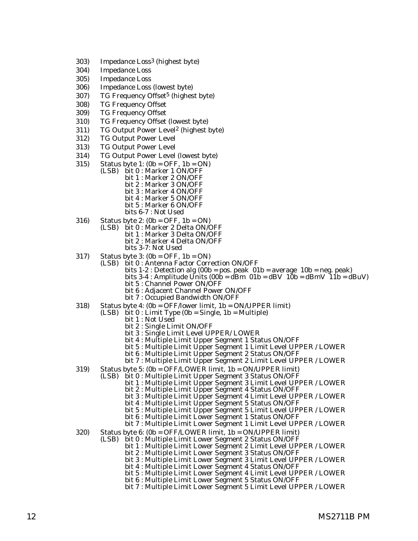- 303) Impedance Loss3 (highest byte)
- 304) Impedance Loss
- 305) Impedance Loss
- 306) Impedance Loss (lowest byte)
- 307) TG Frequency Offset<sup>5</sup> (highest byte)
- 308) TG Frequency Offset
- 309) TG Frequency Offset
- 310) TG Frequency Offset (lowest byte)
- 311) TG Output Power Level2 (highest byte)
- 312) TG Output Power Level
- 313) TG Output Power Level
- 314) TG Output Power Level (lowest byte)
- 315) Status byte 1:  $(0b = OFF, 1b = ON)$ 
	- (LSB) bit 0 : Marker 1 ON/OFF bit 1 : Marker 2 ON/OFF bit 2 : Marker 3 ON/OFF bit 3 : Marker 4 ON/OFF bit 4 : Marker 5 ON/OFF bit 5 : Marker 6 ON/OFF bits 6-7 : Not Used
- 316) Status byte 2: (0b = OFF, 1b = ON)
	- (LSB) bit 0 : Marker 2 Delta ON/OFF bit 1 : Marker 3 Delta ON/OFF bit 2 : Marker 4 Delta ON/OFF bits 3-7: Not Used
- 317) Status byte 3:  $(0b = OFF, 1b = ON)$ 
	- (LSB) bit 0 : Antenna Factor Correction ON/OFF
		- bits 1-2 : Detection alg (00b = pos. peak 01b = average 10b = neg. peak) bits 3-4 : Amplitude Units (00b = dBm 01b = dBV 10b = dBmV 11b = dBuV)
		- bit 5 : Channel Power ON/OFF
		- bit 6 : Adjacent Channel Power ON/OFF bit 7 : Occupied Bandwidth ON/OFF
- 318) Status byte 4: (0b = OFF/lower limit, 1b = ON/UPPER limit) (LSB) bit 0 : Limit Type (0b = Single, 1b = Multiple)
	- - bit 1 : Not Used
		- bit 2 : Single Limit ON/OFF
		- bit 3 : Single Limit Level UPPER/ LOWER
		- bit 4 : Multiple Limit Upper Segment 1 Status ON/OFF
		- bit 5 : Multiple Limit Upper Segment 1 Limit Level UPPER / LOWER
		- bit 6 : Multiple Limit Upper Segment 2 Status ON/OFF
		- bit 7 : Multiple Limit Upper Segment 2 Limit Level UPPER / LOWER
- 319) Status byte 5: (0b = OFF/LOWER limit, 1b = ON/UPPER limit)
	- (LSB) bit 0 : Multiple Limit Upper Segment 3 Status ON/OFF
		- bit 1 : Multiple Limit Upper Segment 3 Limit Level UPPER / LOWER
		- bit 2 : Multiple Limit Upper Segment 4 Status ON/OFF
		- bit 3 : Multiple Limit Upper Segment 4 Limit Level UPPER / LOWER
		- bit 4 : Multiple Limit Upper Segment 5 Status ON/OFF
		- bit 5 : Multiple Limit Upper Segment 5 Limit Level UPPER / LOWER bit 6 : Multiple Limit Lower Segment 1 Status ON/OFF
		- bit 7 : Multiple Limit Lower Segment 1 Limit Level UPPER / LOWER
	-
- 320) Status byte 6: (0b = OFF/LOWER limit, 1b = ON/UPPER limit) (LSB) bit 0 : Multiple Limit Lower Segment 2 Status ON/OFF
	- bit 1 : Multiple Limit Lower Segment 2 Limit Level UPPER / LOWER
		- bit 2 : Multiple Limit Lower Segment 3 Status ON/OFF
		- bit 3 : Multiple Limit Lower Segment 3 Limit Level UPPER / LOWER
			- bit 4 : Multiple Limit Lower Segment 4 Status ON/OFF
		- bit 5 : Multiple Limit Lower Segment 4 Limit Level UPPER / LOWER
		- bit 6 : Multiple Limit Lower Segment 5 Status ON/OFF
		- bit 7 : Multiple Limit Lower Segment 5 Limit Level UPPER / LOWER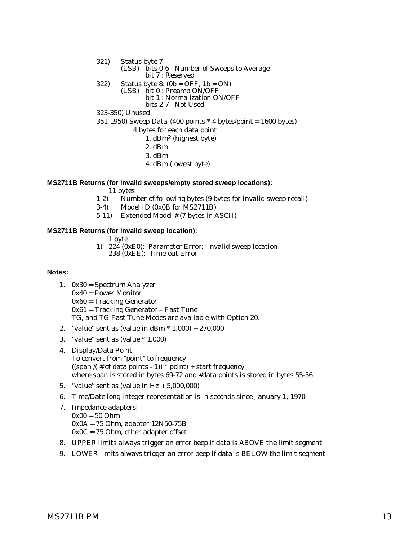- 321) Status byte 7 (LSB) bits 0-6 : Number of Sweeps to Average bit 7 : Reserved 322) Status byte 8:  $(0b = OFF, 1b = ON)$ (LSB) bit 0 : Preamp ON/OFF
	- bit 1 : Normalization ON/OFF bits 2-7 : Not Used
- 323-350) Unused

#### 351-1950) Sweep Data  $(400 \text{ points} * 4 \text{ bytes} / \text{point} = 1600 \text{ bytes})$

- 4 bytes for each data point
	- 1. dBm2 (highest byte)
	- 2. dBm
	- 3. dBm
	- 4. dBm (lowest byte)

#### **MS2711B Returns (for invalid sweeps/empty stored sweep locations):**

- $11 \text{ bytes}$ <br>1-2) Num Number of following bytes (9 bytes for invalid sweep recall)
- 3-4) Model ID (0x0B for MS2711B)
- 5-11) Extended Model # (7 bytes in ASCII)

#### **MS2711B Returns (for invalid sweep location):**

- 1 byte
- 1) 224 (0xE0): Parameter Error: Invalid sweep location 238 (0xEE): Time-out Error

#### **Notes:**

- 1. 0x30 = Spectrum Analyzer
	- 0x40 = Power Monitor
	- 0x60 = Tracking Generator
	- 0x61 = Tracking Generator Fast Tune
	- TG, and TG-Fast Tune Modes are available with Option 20.
- 2. "value" sent as (value in dBm \* 1,000) + 270,000
- 3. "value" sent as (value \* 1,000)
- 4. Display/Data Point To convert from "point" to frequency:  $((\text{span }/( \# \text{ of data points - 1})) * \text{point}) + \text{start frequency}$ where span is stored in bytes 69-72 and #data points is stored in bytes 55-56
- 5. "value" sent as (value in Hz + 5,000,000)
- 6. Time/Date long integer representation is in seconds since January 1, 1970
- 7. Impedance adapters:  $0x00 = 50$  Ohm 0x0A = 75 Ohm, adapter 12N50-75B  $0x0C = 75$  Ohm, other adapter offset
- 8. UPPER limits always trigger an error beep if data is ABOVE the limit segment
- 9. LOWER limits always trigger an error beep if data is BELOW the limit segment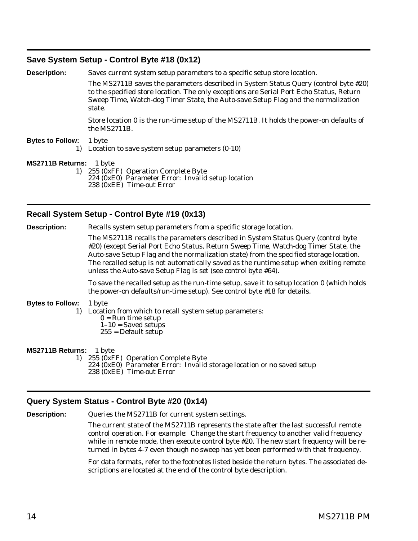## <span id="page-17-0"></span>**Save System Setup - Control Byte #18 (0x12)**

**Description:** Saves current system setup parameters to a specific setup store location. The MS2711B saves the parameters described in System Status Query (control byte #20) to the specified store location. The only exceptions are Serial Port Echo Status, Return Sweep Time, Watch-dog Timer State, the Auto-save Setup Flag and the normalization state. Store location 0 is the run-time setup of the MS2711B. It holds the power-on defaults of the MS2711B. **Bytes to Follow:** 1 byte 1) Location to save system setup parameters (0-10) **MS2711B Returns:** 1 byte 1) 255 (0xFF) Operation Complete Byte 224 (0xE0) Parameter Error: Invalid setup location

238 (0xEE) Time-out Error

## **Recall System Setup - Control Byte #19 (0x13)**

**Description:** Recalls system setup parameters from a specific storage location.

The MS2711B recalls the parameters described in System Status Query (control byte #20) (except Serial Port Echo Status, Return Sweep Time, Watch-dog Timer State, the Auto-save Setup Flag and the normalization state) from the specified storage location. The recalled setup is not automatically saved as the runtime setup when exiting remote unless the Auto-save Setup Flag is set (see control byte #64).

To save the recalled setup as the run-time setup, save it to setup location 0 (which holds the power-on defaults/run-time setup). See control byte #18 for details.

#### **Bytes to Follow:** 1 byte

1) Location from which to recall system setup parameters:

- $0 =$ Run time setup
- $1-10$  = Saved setups
- 255 = Default setup

#### **MS2711B Returns:** 1 byte

1) 255 (0xFF) Operation Complete Byte 224 (0xE0) Parameter Error: Invalid storage location or no saved setup 238 (0xEE) Time-out Error

## **Query System Status - Control Byte #20 (0x14)**

**Description:** Queries the MS2711B for current system settings.

The current state of the MS2711B represents the state after the last successful remote control operation. For example: Change the start frequency to another valid frequency while in remote mode, then execute control byte #20. The new start frequency will be returned in bytes 4-7 even though no sweep has yet been performed with that frequency.

For data formats, refer to the footnotes listed beside the return bytes. The associated descriptions are located at the end of the control byte description.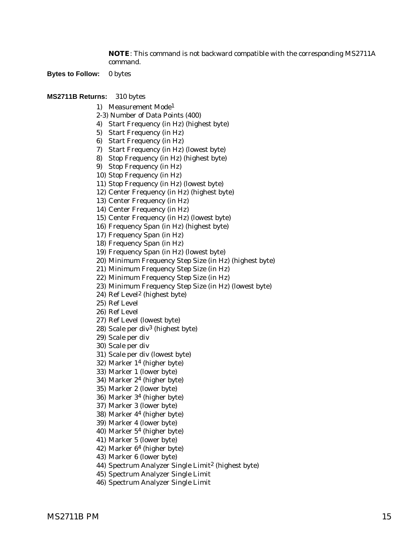**NOTE**: This command is not backward compatible with the corresponding MS2711A command.

**Bytes to Follow:** 0 bytes

- 1) Measurement Mode1
- 2-3) Number of Data Points (400)
- 4) Start Frequency (in Hz) (highest byte)
- 5) Start Frequency (in Hz)
- 6) Start Frequency (in Hz)
- 7) Start Frequency (in Hz) (lowest byte)
- 8) Stop Frequency (in Hz) (highest byte)
- 9) Stop Frequency (in Hz)
- 10) Stop Frequency (in Hz)
- 11) Stop Frequency (in Hz) (lowest byte)
- 12) Center Frequency (in Hz) (highest byte)
- 13) Center Frequency (in Hz)
- 14) Center Frequency (in Hz)
- 15) Center Frequency (in Hz) (lowest byte)
- 16) Frequency Span (in Hz) (highest byte)
- 17) Frequency Span (in Hz)
- 18) Frequency Span (in Hz)
- 19) Frequency Span (in Hz) (lowest byte)
- 20) Minimum Frequency Step Size (in Hz) (highest byte)
- 21) Minimum Frequency Step Size (in Hz)
- 22) Minimum Frequency Step Size (in Hz)
- 23) Minimum Frequency Step Size (in Hz) (lowest byte)
- 24) Ref Level2 (highest byte)
- 25) Ref Level
- 26) Ref Level
- 27) Ref Level (lowest byte)
- 28) Scale per div3 (highest byte)
- 29) Scale per div
- 30) Scale per div
- 31) Scale per div (lowest byte)
- 32) Marker 14 (higher byte)
- 33) Marker 1 (lower byte)
- 34) Marker 24 (higher byte)
- 35) Marker 2 (lower byte)
- 36) Marker 34 (higher byte)
- 37) Marker 3 (lower byte)
- 38) Marker 44 (higher byte)
- 39) Marker 4 (lower byte)
- 40) Marker 54 (higher byte)
- 41) Marker 5 (lower byte)
- 42) Marker 64 (higher byte)
- 43) Marker 6 (lower byte)
- 44) Spectrum Analyzer Single Limit<sup>2</sup> (highest byte)
- 45) Spectrum Analyzer Single Limit
- 46) Spectrum Analyzer Single Limit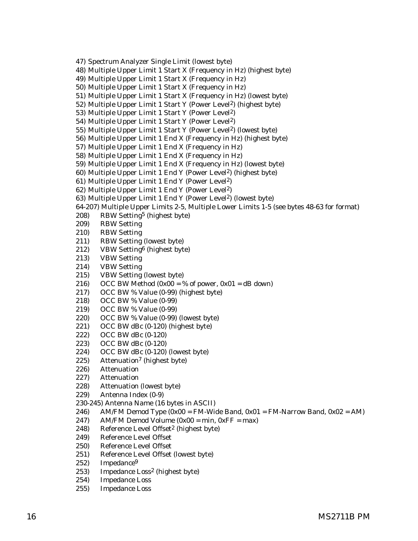47) Spectrum Analyzer Single Limit (lowest byte)

48) Multiple Upper Limit 1 Start X (Frequency in Hz) (highest byte)

49) Multiple Upper Limit 1 Start X (Frequency in Hz)

50) Multiple Upper Limit 1 Start X (Frequency in Hz)

51) Multiple Upper Limit 1 Start X (Frequency in Hz) (lowest byte)

52) Multiple Upper Limit 1 Start Y (Power Level2) (highest byte)

53) Multiple Upper Limit 1 Start Y (Power Level2)

54) Multiple Upper Limit 1 Start Y (Power Level2)

55) Multiple Upper Limit 1 Start Y (Power Level2) (lowest byte)

- 56) Multiple Upper Limit 1 End X (Frequency in Hz) (highest byte)
- 57) Multiple Upper Limit 1 End X (Frequency in Hz)
- 58) Multiple Upper Limit 1 End X (Frequency in Hz)
- 59) Multiple Upper Limit 1 End X (Frequency in Hz) (lowest byte)
- 60) Multiple Upper Limit 1 End Y (Power Level2) (highest byte)
- 61) Multiple Upper Limit 1 End Y (Power Level2)
- 62) Multiple Upper Limit 1 End Y (Power Level2)
- 63) Multiple Upper Limit 1 End Y (Power Level2) (lowest byte)

64-207) Multiple Upper Limits 2-5, Multiple Lower Limits 1-5 (see bytes 48-63 for format)

- 208) RBW Setting5 (highest byte)
- 209) RBW Setting
- 210) RBW Setting
- 211) RBW Setting (lowest byte)
- 212) VBW Setting6 (highest byte)
- 213) VBW Setting
- 214) VBW Setting
- 215) VBW Setting (lowest byte)
- 216) OCC BW Method  $(0x00 = % of power, 0x01 = dB down)$
- 217) OCC BW % Value (0-99) (highest byte)
- 218) OCC BW % Value (0-99)
- 219) OCC BW % Value (0-99)
- 220) OCC BW % Value (0-99) (lowest byte)
- 221) OCC BW dBc (0-120) (highest byte)
- 222) OCC BW dBc (0-120)
- 223) OCC BW dBc (0-120)
- 224) OCC BW dBc (0-120) (lowest byte)
- 225) Attenuation<sup>7</sup> (highest byte)
- 226) Attenuation
- 227) Attenuation
- 228) Attenuation (lowest byte)
- 229) Antenna Index (0-9)

230-245) Antenna Name (16 bytes in ASCII)

- 246) AM/FM Demod Type  $(0x00 = FM-Wide Band, 0x01 = FM-Narrow Band, 0x02 = AM)$
- 247) AM/FM Demod Volume  $(0x00 = min, 0xFF = max)$
- 248) Reference Level Offset<sup>2</sup> (highest byte)
- 249) Reference Level Offset
- 250) Reference Level Offset
- 251) Reference Level Offset (lowest byte)
- 252) Impedance9
- 253) Impedance Loss2 (highest byte)
- 254) Impedance Loss
- 255) Impedance Loss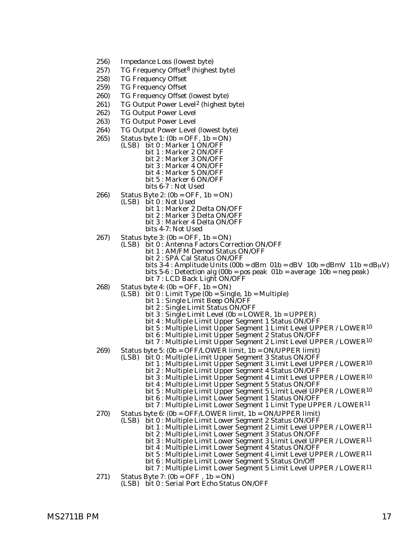- 256) Impedance Loss (lowest byte)
- 257) TG Frequency Offset<sup>8</sup> (highest byte)
- 258) TG Frequency Offset
- 259) TG Frequency Offset
- 260) TG Frequency Offset (lowest byte)
- 261) TG Output Power Level2 (highest byte)
- 262) TG Output Power Level
- 263) TG Output Power Level
- 264) TG Output Power Level (lowest byte)
- 265) Status byte 1:  $(0b = OFF, 1b = ON)$ <br>(LSB) bit 0 : Marker 1 ON/OFF
	- bit 1 : Marker 2 ON/OFF bit 2 : Marker 3 ON/OFF bit 3 : Marker 4 ON/OFF bit 4 : Marker 5 ON/OFF bit 5 : Marker 6 ON/OFF bits 6-7 : Not Used
	-
- 266) Status Byte 2: (0b = OFF, 1b = ON)
	- (LSB) bit 0 : Not Used
		- bit 1 : Marker 2 Delta ON/OFF
		- bit 2 : Marker 3 Delta ON/OFF
		- bit 3 : Marker 4 Delta ON/OFF
		- bits 4-7: Not Used
- 267) Status byte 3: (0b = OFF, 1b = ON) (LSB) bit 0 : Antenna Factors Correction ON/OFF
	- bit 1 : AM/FM Demod Status ON/OFF
		- bit 2 : SPA Cal Status ON/OFF
		- bits 3-4 : Amplitude Units  $(00b = dBm 01b = dBv 10b = dBmV 11b = dBuV)$ bits  $5-6$ : Detection alg  $(00b = pos$  peak  $01b = average 10b = neg$  peak)

bit 7 : LCD Back Light ON/OFF

- 268) Status byte 4:  $(0b = OFF, 1b = ON)$ 
	- $(LSB)$  bit  $0:$  Limit Type  $(0b = Single, 1b = Multiple)$ 
		- bit 1 : Single Limit Beep ON/OFF
		- bit 2 : Single Limit Status ON/OFF
		- bit 3 : Single Limit Level (0b = LOWER, 1b = UPPER)
		- bit 4 : Multiple Limit Upper Segment 1 Status ON/OFF
		- bit 5 : Multiple Limit Upper Segment 1 Limit Level UPPER / LOWER<sup>10</sup>
		- bit 6 : Multiple Limit Upper Segment 2 Status ON/OFF
		- bit 7 : Multiple Limit Upper Segment 2 Limit Level UPPER / LOWER<sup>10</sup>
- 269) Status byte 5: (0b = OFF/LOWER limit, 1b = ON/UPPER limit)
- (LSB) bit 0 : Multiple Limit Upper Segment 3 Status ON/OFF
	- bit 1 : Multiple Limit Upper Segment 3 Limit Level UPPER / LOWER<sup>10</sup>
	- bit 2 : Multiple Limit Upper Segment 4 Status ON/OFF
	- bit 3 : Multiple Limit Upper Segment 4 Limit Level UPPER / LOWER<sup>10</sup>
	- bit 4 : Multiple Limit Upper Segment 5 Status ON/OFF
	- bit 5 : Multiple Limit Upper Segment 5 Limit Level UPPER / LOWER<sup>10</sup>
	- bit 6 : Multiple Limit Lower Segment 1 Status ON/OFF
	- bit 7 : Multiple Limit Lower Segment 1 Limit Type UPPER / LOWER11
- 270) Status byte 6: (0b = OFF/LOWER limit, 1b = ON/UPPER limit)
	- (LSB) bit 0 : Multiple Limit Lower Segment 2 Status ON/OFF
		- bit 1 : Multiple Limit Lower Segment 2 Limit Level UPPER / LOWER<sup>11</sup>
		- bit 2 : Multiple Limit Lower Segment 3 Status ON/OFF
		- bit 3 : Multiple Limit Lower Segment 3 Limit Level UPPER / LOWER11
		- bit 4 : Multiple Limit Lower Segment 4 Status ON/OFF
		- bit 5 : Multiple Limit Lower Segment 4 Limit Level UPPER / LOWER11
		- bit 6 : Multiple Limit Lower Segment 5 Status On/Off bit 7 : Multiple Limit Lower Segment 5 Limit Level UPPER / LOWER11
- 271) Status Byte 7: (0b = OFF , 1b = ON)
	- (LSB) bit 0 : Serial Port Echo Status ON/OFF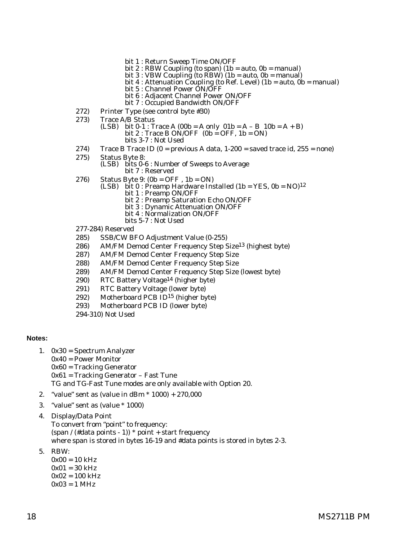- bit 1 : Return Sweep Time ON/OFF
- bit 2 : RBW Coupling (to span) (1b = auto, 0b = manual)
- bit 3 : VBW Coupling (to RBW) (1b = auto, 0b = manual)
- bit 4 : Attenuation Coupling (to Ref. Level) (1b = auto, 0b = manual)
- bit 5 : Channel Power ON/OFF
- bit 6 : Adjacent Channel Power ON/OFF
- bit 7 : Occupied Bandwidth ON/OFF
- 272) Printer Type (see control byte #30)
- 273) Trace A/B Status
	- (LSB) bit  $0-1$ : Trace A (00b = A only  $01b = A B$  10b = A + B) bit 2 : Trace B ON/OFF  $(0b = OFF, 1b = ON)$ 
		- bits 3-7 : Not Used
- 274) Trace B Trace ID  $(0 =$  previous A data, 1-200 = saved trace id, 255 = none)
- 275) Status Byte 8:
	- (LSB) bits 0-6 : Number of Sweeps to Average bit 7 : Reserved
- 
- 276) Status Byte 9: (0b = OFF, 1b = ON)<br>(LSB) bit 0 : Preamp Hardware Installed (1b = YES, 0b = NO)<sup>12</sup>
	- bit 1 : Preamp ON/OFF
	- bit 2 : Preamp Saturation Echo ON/OFF
	- bit 3 : Dynamic Attenuation ON/OFF
	- bit 4 : Normalization ON/OFF
	- bits 5-7 : Not Used
- 277-284) Reserved
- 285) SSB/CW BFO Adjustment Value (0-255)
- 286) AM/FM Demod Center Frequency Step Size13 (highest byte)
- 287) AM/FM Demod Center Frequency Step Size
- 288) AM/FM Demod Center Frequency Step Size
- 289) AM/FM Demod Center Frequency Step Size (lowest byte)
- 290) RTC Battery Voltage14 (higher byte)
- 291) RTC Battery Voltage (lower byte)
- 292) Motherboard PCB ID15 (higher byte)
- 293) Motherboard PCB ID (lower byte)
- 294-310) Not Used

#### **Notes:**

- 1. 0x30 = Spectrum Analyzer
- 0x40 = Power Monitor 0x60 = Tracking Generator 0x61 = Tracking Generator – Fast Tune TG and TG-Fast Tune modes are only available with Option 20.
- 2. "value" sent as (value in dBm \* 1000) + 270,000
- 3. "value" sent as (value \* 1000)
- 4. Display/Data Point To convert from "point" to frequency: (span / (#data points - 1))  $*$  point + start frequency where span is stored in bytes 16-19 and #data points is stored in bytes 2-3.
- 5. RBW:
	- $0x00 = 10$  kHz  $0x01 = 30$  kHz  $0x02 = 100$  kHz  $0x03 = 1$  MHz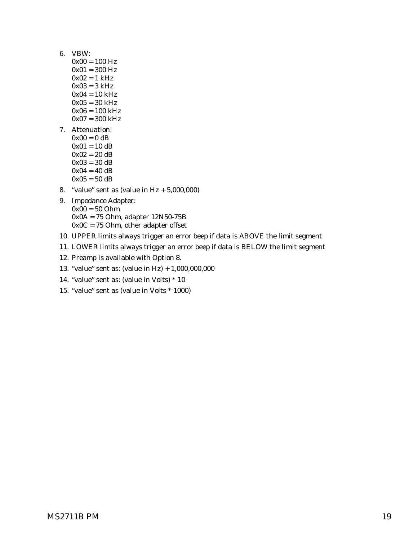- 6. VBW:
	- $0x00 = 100$  Hz
	- $0x01 = 300$  Hz
	- $0x02 = 1$  kHz
	- $0x03 = 3 kHz$
	- $0x04 = 10$  kHz  $0x05 = 30$  kHz
	- $0x06 = 100$  kHz
	- $0x07 = 300$  kHz
- 7. Attenuation:
	- $0x00 = 0$  dB  $0x01 = 10$  dB  $0x02 = 20 dB$  $0x03 = 30 dB$  $0x04 = 40 dB$  $0x05 = 50$  dB
- 8. "value" sent as (value in Hz + 5,000,000)
- 9. Impedance Adapter: 0x00 = 50 Ohm 0x0A = 75 Ohm, adapter 12N50-75B 0x0C = 75 Ohm, other adapter offset
- 10. UPPER limits always trigger an error beep if data is ABOVE the limit segment
- 11. LOWER limits always trigger an error beep if data is BELOW the limit segment
- 12. Preamp is available with Option 8.
- 13. "value" sent as: (value in Hz) + 1,000,000,000
- 14. "value" sent as: (value in Volts) \* 10
- 15. "value" sent as (value in Volts \* 1000)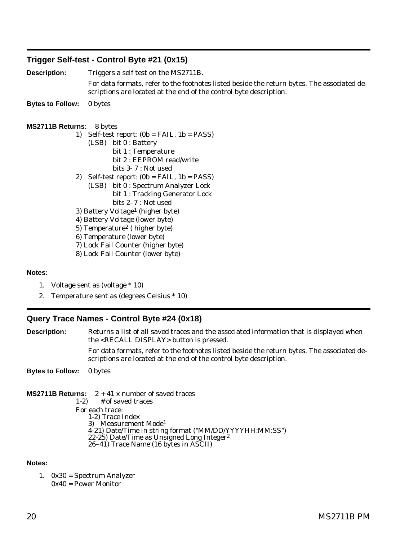## <span id="page-23-0"></span>**Trigger Self-test - Control Byte #21 (0x15)**

**Description:** Triggers a self test on the MS2711B.

For data formats, refer to the footnotes listed beside the return bytes. The associated descriptions are located at the end of the control byte description.

**Bytes to Follow:** 0 bytes

#### **MS2711B Returns:** 8 bytes

- 1) Self-test report:  $(0b = FAIL, 1b = PASS)$ 
	- (LSB) bit 0 : Battery bit 1 : Temperature bit 2 : EEPROM read/write bits 3- 7 : Not used
- 2) Self-test report:  $(0b = FAIL, 1b = PASS)$ 
	- (LSB) bit 0 : Spectrum Analyzer Lock bit 1 : Tracking Generator Lock bits 2–7 : Not used
- 3) Battery Voltage1 (higher byte)
- 4) Battery Voltage (lower byte)
- 5) Temperature2 ( higher byte)
- 6) Temperature (lower byte)
- 7) Lock Fail Counter (higher byte)
- 8) Lock Fail Counter (lower byte)

#### **Notes:**

- 1. Voltage sent as (voltage \* 10)
- 2. Temperature sent as (degrees Celsius \* 10)

## **Query Trace Names - Control Byte #24 (0x18)**

**Description:** Returns a list of all saved traces and the associated information that is displayed when the <RECALL DISPLAY> button is pressed. For data formats, refer to the footnotes listed beside the return bytes. The associated descriptions are located at the end of the control byte description.

**Bytes to Follow:** 0 bytes

**MS2711B Returns:**  $2 + 41x$  number of saved traces  $1-2$ ) # of saved traces For each trace: 1-2) Trace Index 3) Measurement Mode1 4-21) Date/Time in string format ("MM/DD/YYYYHH:MM:SS") 22-25) Date/Time as Unsigned Long Integer2 26–41) Trace Name (16 bytes in ASCII)

#### **Notes:**

1. 0x30 = Spectrum Analyzer 0x40 = Power Monitor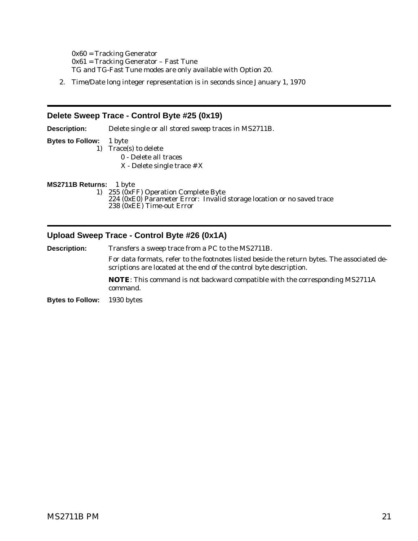<span id="page-24-0"></span>0x60 = Tracking Generator 0x61 = Tracking Generator – Fast Tune TG and TG-Fast Tune modes are only available with Option 20.

2. Time/Date long integer representation is in seconds since January 1, 1970

#### **Delete Sweep Trace - Control Byte #25 (0x19)**

**Description:** Delete single or all stored sweep traces in MS2711B. **Bytes to Follow:** 1 byte 1) Trace(s) to delete 0 - Delete all traces X - Delete single trace # X **MS2711B Returns:** 1 byte 1) 255 (0xFF) Operation Complete Byte 224 (0xE0) Parameter Error: Invalid storage location or no saved trace 238 (0xEE) Time-out Error

## **Upload Sweep Trace - Control Byte #26 (0x1A)**

**Description:** Transfers a sweep trace from a PC to the MS2711B. For data formats, refer to the footnotes listed beside the return bytes. The associated descriptions are located at the end of the control byte description. **NOTE**: This command is not backward compatible with the corresponding MS2711A command. **Bytes to Follow:** 1930 bytes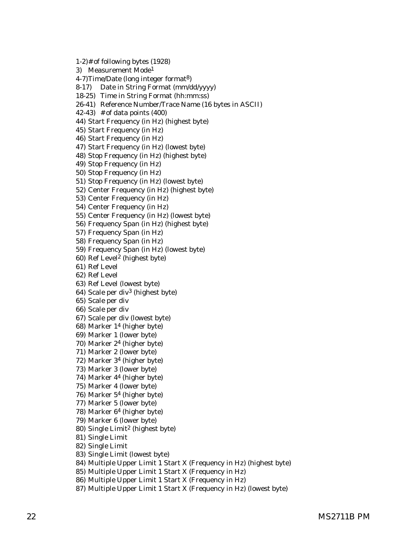1-2)# of following bytes (1928) 3) Measurement Mode1 4-7)Time/Date (long integer format8) 8-17) Date in String Format (mm/dd/yyyy) 18-25) Time in String Format (hh:mm:ss) 26-41) Reference Number/Trace Name (16 bytes in ASCII) 42-43) # of data points (400) 44) Start Frequency (in Hz) (highest byte) 45) Start Frequency (in Hz) 46) Start Frequency (in Hz) 47) Start Frequency (in Hz) (lowest byte) 48) Stop Frequency (in Hz) (highest byte) 49) Stop Frequency (in Hz) 50) Stop Frequency (in Hz) 51) Stop Frequency (in Hz) (lowest byte) 52) Center Frequency (in Hz) (highest byte) 53) Center Frequency (in Hz) 54) Center Frequency (in Hz) 55) Center Frequency (in Hz) (lowest byte) 56) Frequency Span (in Hz) (highest byte) 57) Frequency Span (in Hz) 58) Frequency Span (in Hz) 59) Frequency Span (in Hz) (lowest byte) 60) Ref Level2 (highest byte) 61) Ref Level 62) Ref Level 63) Ref Level (lowest byte) 64) Scale per div3 (highest byte) 65) Scale per div 66) Scale per div 67) Scale per div (lowest byte) 68) Marker 14 (higher byte) 69) Marker 1 (lower byte) 70) Marker 24 (higher byte) 71) Marker 2 (lower byte) 72) Marker 34 (higher byte) 73) Marker 3 (lower byte) 74) Marker 44 (higher byte) 75) Marker 4 (lower byte) 76) Marker 54 (higher byte) 77) Marker 5 (lower byte) 78) Marker 64 (higher byte) 79) Marker 6 (lower byte) 80) Single Limit2 (highest byte) 81) Single Limit 82) Single Limit 83) Single Limit (lowest byte) 84) Multiple Upper Limit 1 Start X (Frequency in Hz) (highest byte) 85) Multiple Upper Limit 1 Start X (Frequency in Hz) 86) Multiple Upper Limit 1 Start X (Frequency in Hz) 87) Multiple Upper Limit 1 Start X (Frequency in Hz) (lowest byte)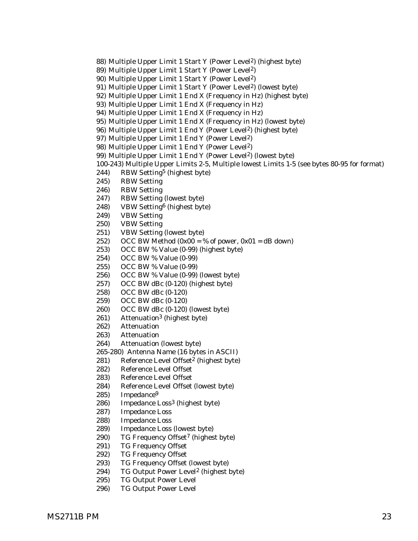- 88) Multiple Upper Limit 1 Start Y (Power Level2) (highest byte)
- 89) Multiple Upper Limit 1 Start Y (Power Level2)
- 90) Multiple Upper Limit 1 Start Y (Power Level2)
- 91) Multiple Upper Limit 1 Start Y (Power Level2) (lowest byte)
- 92) Multiple Upper Limit 1 End X (Frequency in Hz) (highest byte)
- 93) Multiple Upper Limit 1 End X (Frequency in Hz)
- 94) Multiple Upper Limit 1 End X (Frequency in Hz)
- 95) Multiple Upper Limit 1 End X (Frequency in Hz) (lowest byte)
- 96) Multiple Upper Limit 1 End Y (Power Level2) (highest byte)
- 97) Multiple Upper Limit 1 End Y (Power Level2)
- 98) Multiple Upper Limit 1 End Y (Power Level2)
- 99) Multiple Upper Limit 1 End Y (Power Level2) (lowest byte)
- 100-243) Multiple Upper Limits 2-5, Multiple lowest Limits 1-5 (see bytes 80-95 for format)
- 244) RBW Setting5 (highest byte)
- 245) RBW Setting
- 246) RBW Setting
- 247) RBW Setting (lowest byte)
- 248) VBW Setting6 (highest byte)
- 249) VBW Setting
- 250) VBW Setting
- 251) VBW Setting (lowest byte)
- 252) OCC BW Method  $(0x00 = % of power, 0x01 = dB down)$
- 253) OCC BW % Value (0-99) (highest byte)
- 254) OCC BW % Value (0-99)
- 255) OCC BW % Value (0-99)
- 256) OCC BW % Value (0-99) (lowest byte)
- 257) OCC BW dBc (0-120) (highest byte)
- 258) OCC BW dBc (0-120)
- 259) OCC BW dBc (0-120)
- 260) OCC BW dBc (0-120) (lowest byte)
- 261) Attenuation3 (highest byte)
- 262) Attenuation
- 263) Attenuation
- 264) Attenuation (lowest byte)
- 265-280) Antenna Name (16 bytes in ASCII)
- 281) Reference Level Offset<sup>2</sup> (highest byte)
- 282) Reference Level Offset
- 283) Reference Level Offset
- 284) Reference Level Offset (lowest byte)
- 285) Impedance9
- 286) Impedance Loss3 (highest byte)
- 287) Impedance Loss
- 288) Impedance Loss
- 289) Impedance Loss (lowest byte)
- 290) TG Frequency Offset<sup>7</sup> (highest byte)
- 291) TG Frequency Offset
- 292) TG Frequency Offset
- 293) TG Frequency Offset (lowest byte)
- 294) TG Output Power Level2 (highest byte)
- 295) TG Output Power Level
- 296) TG Output Power Level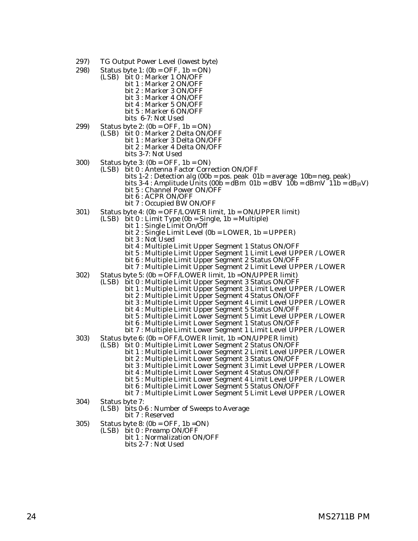- 297) TG Output Power Level (lowest byte)
- 298) Status byte 1: (0b = OFF, 1b = ON)
	- (LSB) bit 0 : Marker 1 ON/OFF bit 1 : Marker 2 ON/OFF bit 2 : Marker 3 ON/OFF bit 3 : Marker 4 ON/OFF bit 4 : Marker 5 ON/OFF bit 5 : Marker 6 ON/OFF bits 6-7: Not Used
- 299) Status byte 2: (0b = OFF, 1b = ON) (LSB) bit 0 : Marker 2 Delta ON/OFF bit 1 : Marker 3 Delta ON/OFF bit 2 : Marker 4 Delta ON/OFF bits 3-7: Not Used
- 
- 300) Status byte 3: (0b = OFF, 1b = ON) (LSB) bit 0 : Antenna Factor Correction ON/OFF
	- bits 1-2 : Detection alg (00b = pos. peak 01b = average 10b= neg. peak)
	- bits 3-4 : Amplitude Units (00b = dBm  $01b = dBV$   $10b = dBmV$   $11b = dB\mu V$ )
	- bit 5 : Channel Power ON/OFF
	- bit 6 : ACPR ON/OFF
	- bit 7 : Occupied BW ON/OFF
- 301) Status byte 4: (0b = OFF/LOWER limit, 1b = ON/UPPER limit) (LSB) bit 0 : Limit Type (0b = Single, 1b = Multiple)
	- - bit 1 : Single Limit On/Off
		- bit 2 : Single Limit Level (0b = LOWER, 1b = UPPER)
		- bit 3 : Not Used
		- bit 4 : Multiple Limit Upper Segment 1 Status ON/OFF
		- bit 5 : Multiple Limit Upper Segment 1 Limit Level UPPER / LOWER
		- bit 6 : Multiple Limit Upper Segment 2 Status ON/OFF
		- bit 7 : Multiple Limit Upper Segment 2 Limit Level UPPER / LOWER
- 302) Status byte 5: (0b = OFF/LOWER limit, 1b =ON/UPPER limit)
	- (LSB) bit 0 : Multiple Limit Upper Segment 3 Status ON/OFF
		- bit 1 : Multiple Limit Upper Segment 3 Limit Level UPPER / LOWER
			- bit 2 : Multiple Limit Upper Segment 4 Status ON/OFF
		- bit 3 : Multiple Limit Upper Segment 4 Limit Level UPPER / LOWER
		- bit 4 : Multiple Limit Upper Segment 5 Status ON/OFF
		- bit 5 : Multiple Limit Lower Segment 5 Limit Level UPPER / LOWER
		- bit 6 : Multiple Limit Lower Segment 1 Status ON/OFF
		- bit 7 : Multiple Limit Lower Segment 1 Limit Level UPPER / LOWER
- 303) Status byte 6: (0b = OFF/LOWER limit, 1b =ON/UPPER limit)
	- (LSB) bit 0 : Multiple Limit Lower Segment 2 Status ON/OFF
		- bit 1 : Multiple Limit Lower Segment 2 Limit Level UPPER / LOWER
			- bit 2 : Multiple Limit Lower Segment 3 Status ON/OFF
			- bit 3 : Multiple Limit Lower Segment 3 Limit Level UPPER / LOWER
			- bit 4 : Multiple Limit Lower Segment 4 Status ON/OFF
			- bit 5 : Multiple Limit Lower Segment 4 Limit Level UPPER / LOWER
			- bit 6 : Multiple Limit Lower Segment 5 Status ON/OFF
			- bit 7 : Multiple Limit Lower Segment 5 Limit Level UPPER / LOWER
- 
- 304) Status byte 7: (LSB) bits 0-6 : Number of Sweeps to Average bit 7 : Reserved
- 305) Status byte 8: (0b = OFF, 1b =ON) (LSB) bit 0 : Preamp ON/OFF
	- - bit 1 : Normalization ON/OFF bits 2-7 : Not Used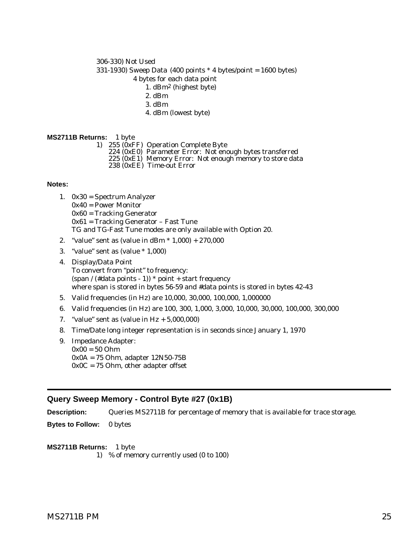#### <span id="page-28-0"></span>306-330) Not Used

331-1930) Sweep Data (400 points \* 4 bytes/point = 1600 bytes)

- 4 bytes for each data point
	- 1. dBm2 (highest byte)
	- 2. dBm
	- 3. dBm
	- 4. dBm (lowest byte)

#### **MS2711B Returns:** 1 byte

- 
- 1) 255 (0xFF) Operation Complete Byte 224 (0xE0) Parameter Error: Not enough bytes transferred
	- 225 (0xE1) Memory Error: Not enough memory to store data
	- 238 (0xEE) Time-out Error

#### **Notes:**

- 1. 0x30 = Spectrum Analyzer 0x40 = Power Monitor 0x60 = Tracking Generator 0x61 = Tracking Generator – Fast Tune TG and TG-Fast Tune modes are only available with Option 20.
- 2. "value" sent as (value in dBm \* 1,000) + 270,000
- 3. "value" sent as (value \* 1,000)
- 4. Display/Data Point To convert from "point" to frequency: (span / (#data points - 1))  $*$  point + start frequency where span is stored in bytes 56-59 and #data points is stored in bytes 42-43
- 5. Valid frequencies (in Hz) are 10,000, 30,000, 100,000, 1,000000
- 6. Valid frequencies (in Hz) are 100, 300, 1,000, 3,000, 10,000, 30,000, 100,000, 300,000
- 7. "value" sent as (value in  $Hz + 5,000,000$ )
- 8. Time/Date long integer representation is in seconds since January 1, 1970
- 9. Impedance Adapter: 0x00 = 50 Ohm 0x0A = 75 Ohm, adapter 12N50-75B  $0x0C = 75$  Ohm, other adapter offset

## **Query Sweep Memory - Control Byte #27 (0x1B)**

**Description:** Queries MS2711B for percentage of memory that is available for trace storage.

**Bytes to Follow:** 0 bytes

**MS2711B Returns:** 1 byte 1) % of memory currently used (0 to 100)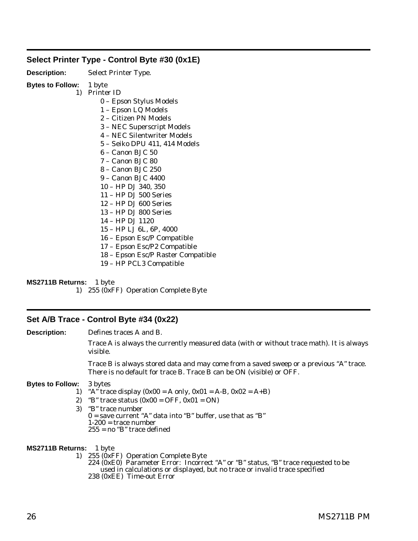## <span id="page-29-0"></span>**Select Printer Type - Control Byte #30 (0x1E)**

| <b>Description:</b> | Select Printer Type. |
|---------------------|----------------------|
|---------------------|----------------------|

## **Bytes to Follow:** 1 byte

1) Printer ID

- 0 Epson Stylus Models
- 1 Epson LQ Models
- 2 Citizen PN Models
- 3 NEC Superscript Models
- 4 NEC Silentwriter Models
- 5 Seiko DPU 411, 414 Models
- 6 Canon BJC 50
- 7 Canon BJC 80
- 8 Canon BJC 250
- 9 Canon BJC 4400
- 10 HP DJ 340, 350
- 11 HP DJ 500 Series
- 12 HP DJ 600 Series
- 13 HP DJ 800 Series
- 14 HP DJ 1120
- 15 HP LJ 6L, 6P, 4000
- 16 Epson Esc/P Compatible
- 17 Epson Esc/P2 Compatible
- 18 Epson Esc/P Raster Compatible
- 19 HP PCL3 Compatible

**MS2711B Returns:** 1 byte

1) 255 (0xFF) Operation Complete Byte

## **Set A/B Trace - Control Byte #34 (0x22)**

**Description:** Defines traces A and B.

Trace A is always the currently measured data (with or without trace math). It is always visible.

Trace B is always stored data and may come from a saved sweep or a previous "A" trace. There is no default for trace B. Trace B can be ON (visible) or OFF.

#### **Bytes to Follow:** 3 bytes

- 1) "A" trace display  $(0x00 = A \text{ only}, 0x01 = A-B, 0x02 = A+B)$
- 2) "B" trace status  $(0x00 = OFF, 0x01 = ON)$
- 3) "B" trace number  $0 =$  save current "A" data into "B" buffer, use that as "B"  $1-200$  = trace number 255 = no "B" trace defined

## **MS2711B Returns:** 1 byte

1) 255 (0xFF) Operation Complete Byte 224 (0xE0) Parameter Error: Incorrect "A" or "B" status, "B" trace requested to be used in calculations or displayed, but no trace or invalid trace specified 238 (0xEE) Time-out Error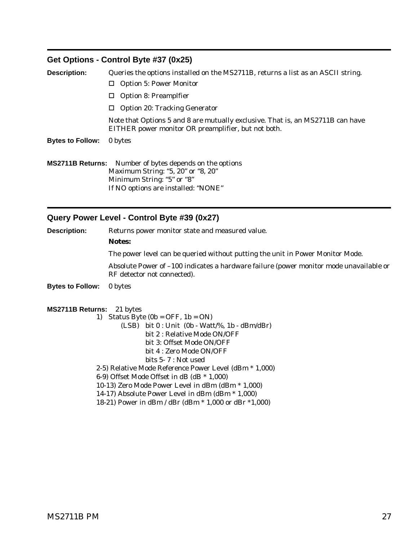## <span id="page-30-0"></span>**Get Options - Control Byte #37 (0x25)**

| <b>Description:</b>     | Queries the options installed on the MS2711B, returns a list as an ASCII string.                                                      |  |
|-------------------------|---------------------------------------------------------------------------------------------------------------------------------------|--|
|                         | $\Box$ Option 5: Power Monitor                                                                                                        |  |
|                         | <b>Option 8: Preamplfier</b><br>ш                                                                                                     |  |
|                         | $\Box$ Option 20: Tracking Generator                                                                                                  |  |
|                         | Note that Options 5 and 8 are mutually exclusive. That is, an MS2711B can have<br>EITHER power monitor OR preamplifier, but not both. |  |
| <b>Bytes to Follow:</b> | 0 bytes                                                                                                                               |  |
|                         |                                                                                                                                       |  |
|                         | <b>MS2711B Returns:</b> Number of bytes depends on the options                                                                        |  |
|                         | Maximum String: "5, 20" or "8, 20"                                                                                                    |  |

Minimum String: "5" or "8" If NO options are installed: "NONE"

# **Query Power Level - Control Byte #39 (0x27)**

| <b>Description:</b>              | Returns power monitor state and measured value.                                                                       |  |  |
|----------------------------------|-----------------------------------------------------------------------------------------------------------------------|--|--|
|                                  | <b>Notes:</b>                                                                                                         |  |  |
|                                  | The power level can be queried without putting the unit in Power Monitor Mode.                                        |  |  |
|                                  | Absolute Power of -100 indicates a hardware failure (power monitor mode unavailable or<br>RF detector not connected). |  |  |
| <b>Bytes to Follow:</b>          | 0 bytes                                                                                                               |  |  |
| <b>MS2711B Returns:</b> 21 bytes |                                                                                                                       |  |  |
|                                  | 1) Status Byte $(0b = OFF, 1b = ON)$                                                                                  |  |  |
|                                  | $(LSB)$ bit $0: Unit (0b - Watt\% 1b - dBm/dBr)$                                                                      |  |  |
|                                  | bit 2 : Relative Mode ON/OFF                                                                                          |  |  |
|                                  | bit 3: Offset Mode ON/OFF                                                                                             |  |  |
|                                  | bit 4 : Zero Mode ON/OFF                                                                                              |  |  |
|                                  | bits $5 - 7$ : Not used                                                                                               |  |  |
|                                  | 2-5) Relative Mode Reference Power Level (dBm * 1,000)                                                                |  |  |
|                                  | 6-9) Offset Mode Offset in dB (dB $*$ 1,000)                                                                          |  |  |
|                                  | 10-13) Zero Mode Power Level in dBm (dBm * 1,000)                                                                     |  |  |
|                                  | 14-17) Absolute Power Level in dBm (dBm * 1,000)                                                                      |  |  |
|                                  | 18-21) Power in dBm / dBr (dBm * 1,000 or dBr *1,000)                                                                 |  |  |
|                                  |                                                                                                                       |  |  |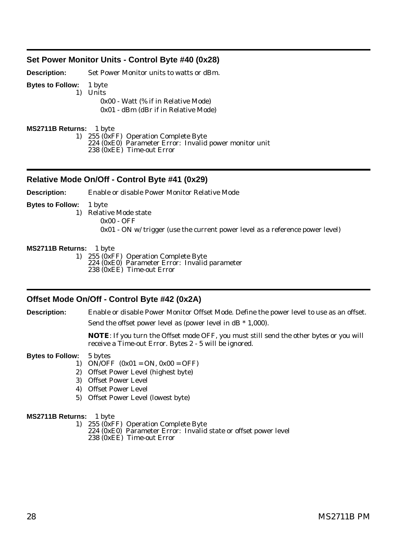#### <span id="page-31-0"></span>**Set Power Monitor Units - Control Byte #40 (0x28)**

**Description:** Set Power Monitor units to watts or dBm.

**Bytes to Follow:** 1 byte

1) Units 0x00 - Watt (% if in Relative Mode)

0x01 - dBm (dBr if in Relative Mode)

**MS2711B Returns:** 1 byte

1) 255 (0xFF) Operation Complete Byte

224 (0xE0) Parameter Error: Invalid power monitor unit 238 (0xEE) Time-out Error

#### **Relative Mode On/Off - Control Byte #41 (0x29)**

**Description:** Enable or disable Power Monitor Relative Mode

**Bytes to Follow:** 1 byte

1) Relative Mode state

0x00 - OFF

0x01 - ON w/ trigger (use the current power level as a reference power level)

#### **MS2711B Returns:** 1 byte

1) 255 (0xFF) Operation Complete Byte 224 (0xE0) Parameter Error: Invalid parameter 238 (0xEE) Time-out Error

#### **Offset Mode On/Off - Control Byte #42 (0x2A)**

**Description:** Enable or disable Power Monitor Offset Mode. Define the power level to use as an offset. Send the offset power level as (power level in  $dB * 1,000$ ).

> **NOTE**: If you turn the Offset mode OFF, you must still send the other bytes or you will receive a Time-out Error. Bytes 2 - 5 will be ignored.

**Bytes to Follow:** 5 bytes

- 1) ON/OFF  $(0x01 = ON, 0x00 = OFF)$
- 2) Offset Power Level (highest byte)
- 3) Offset Power Level
- 4) Offset Power Level
- 5) Offset Power Level (lowest byte)

#### **MS2711B Returns:** 1 byte

1) 255 (0xFF) Operation Complete Byte

224 (0xE0) Parameter Error: Invalid state or offset power level 238 (0xEE) Time-out Error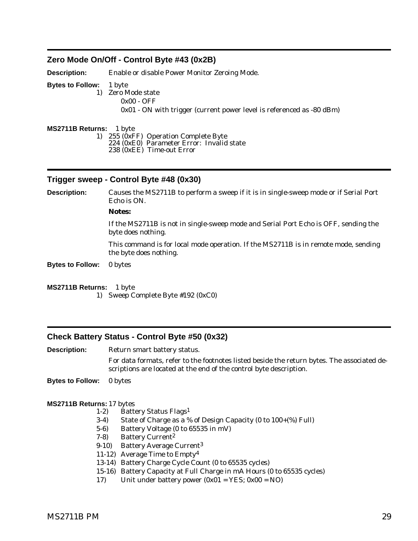## <span id="page-32-0"></span>**Zero Mode On/Off - Control Byte #43 (0x2B)**

**Description:** Enable or disable Power Monitor Zeroing Mode. **Bytes to Follow:** 1 byte 1) Zero Mode state 0x00 - OFF 0x01 - ON with trigger (current power level is referenced as -80 dBm)

**MS2711B Returns:** 1 byte 1) 255 (0xFF) Operation Complete Byte 224 (0xE0) Parameter Error: Invalid state 238 (0xEE) Time-out Error

#### **Trigger sweep - Control Byte #48 (0x30)**

**Description:** Causes the MS2711B to perform a sweep if it is in single-sweep mode or if Serial Port Echo is ON.

#### **Notes:**

If the MS2711B is not in single-sweep mode and Serial Port Echo is OFF, sending the byte does nothing.

This command is for local mode operation. If the MS2711B is in remote mode, sending the byte does nothing.

**Bytes to Follow:** 0 bytes

#### **MS2711B Returns:** 1 byte

1) Sweep Complete Byte #192 (0xC0)

## **Check Battery Status - Control Byte #50 (0x32)**

**Description:** Return smart battery status.

For data formats, refer to the footnotes listed beside the return bytes. The associated descriptions are located at the end of the control byte description.

**Bytes to Follow:** 0 bytes

- 1-2) Battery Status Flags1
- 3-4) State of Charge as a % of Design Capacity (0 to 100+(%) Full)
- 5-6) Battery Voltage (0 to 65535 in mV)
- 7-8) Battery Current2
- 9-10) Battery Average Current3
- 11-12) Average Time to Empty4
- 13-14) Battery Charge Cycle Count (0 to 65535 cycles)
- 15-16) Battery Capacity at Full Charge in mA Hours (0 to 65535 cycles)
- 17) Unit under battery power  $(0x01 = \text{YES}; 0x00 = \text{NO})$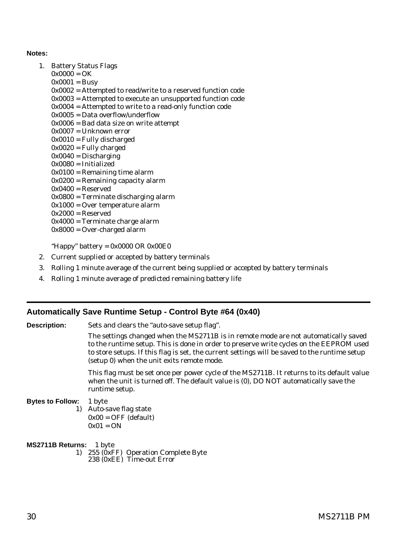#### <span id="page-33-0"></span>**Notes:**

- 1. Battery Status Flags
	- $0x0000 = OK$
	- $0x0001 = Busy$
	- 0x0002 = Attempted to read/write to a reserved function code
	- 0x0003 = Attempted to execute an unsupported function code
	- 0x0004 = Attempted to write to a read-only function code
	- 0x0005 = Data overflow/underflow
	- 0x0006 = Bad data size on write attempt
	- 0x0007 = Unknown error
	- $0x0010 =$  Fully discharged
	- $0x0020$  = Fully charged
	- $0x0040 =$ Discharging
	- 0x0080 = Initialized
	- $0x0100 =$  Remaining time alarm
	- 0x0200 = Remaining capacity alarm
	- $0x0400 =$ Reserved
	- 0x0800 = Terminate discharging alarm
	- 0x1000 = Over temperature alarm
	- $0x2000 =$ Reserved
	- 0x4000 = Terminate charge alarm
	- 0x8000 = Over-charged alarm

"Happy" battery =  $0x0000$  OR  $0x00E0$ 

- 2. Current supplied or accepted by battery terminals
- 3. Rolling 1 minute average of the current being supplied or accepted by battery terminals
- 4. Rolling 1 minute average of predicted remaining battery life

## **Automatically Save Runtime Setup - Control Byte #64 (0x40)**

**Description:** Sets and clears the "auto-save setup flag".

The settings changed when the MS2711B is in remote mode are not automatically saved to the runtime setup. This is done in order to preserve write cycles on the EEPROM used to store setups. If this flag is set, the current settings will be saved to the runtime setup (setup 0) when the unit exits remote mode.

This flag must be set once per power cycle of the MS2711B. It returns to its default value when the unit is turned off. The default value is (0), DO NOT automatically save the runtime setup.

#### **Bytes to Follow:** 1 byte

1) Auto-save flag state  $0x00 = OFF$  (default)  $0x01 = ON$ 

## **MS2711B Returns:** 1 byte

1) 255 (0xFF) Operation Complete Byte 238 (0xEE) Time-out Error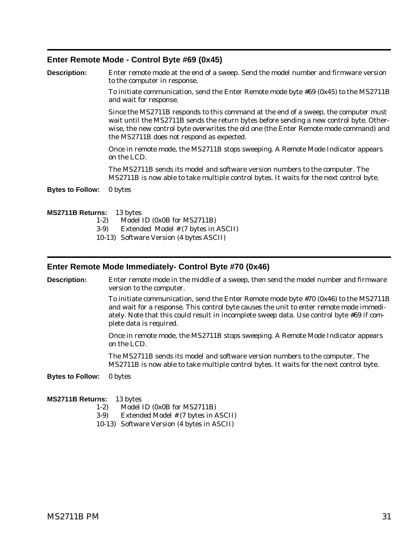#### <span id="page-34-0"></span>**Enter Remote Mode - Control Byte #69 (0x45)**

| <b>Description:</b>              | Enter remote mode at the end of a sweep. Send the model number and firmware version<br>to the computer in response.                                                                                                                                                                                                  |  |  |
|----------------------------------|----------------------------------------------------------------------------------------------------------------------------------------------------------------------------------------------------------------------------------------------------------------------------------------------------------------------|--|--|
|                                  | To initiate communication, send the Enter Remote mode byte $#69$ (0x45) to the MS2711B<br>and wait for response.                                                                                                                                                                                                     |  |  |
|                                  | Since the MS2711B responds to this command at the end of a sweep, the computer must<br>wait until the MS2711B sends the return bytes before sending a new control byte. Other-<br>wise, the new control byte overwrites the old one (the Enter Remote mode command) and<br>the MS2711B does not respond as expected. |  |  |
|                                  | Once in remote mode, the MS2711B stops sweeping. A Remote Mode Indicator appears<br>on the LCD.                                                                                                                                                                                                                      |  |  |
|                                  | The MS2711B sends its model and software version numbers to the computer. The<br>MS2711B is now able to take multiple control bytes. It waits for the next control byte.                                                                                                                                             |  |  |
| <b>Bytes to Follow:</b>          | 0 bytes                                                                                                                                                                                                                                                                                                              |  |  |
| <b>MS2711B Returns:</b><br>$1-2$ | 13 bytes<br>Model ID (0x0B for MS2711B)<br>$\overline{1}$ . I I I $\overline{1}$ I I $\overline{2}$ and $\overline{3}$ i I $\overline{1}$                                                                                                                                                                            |  |  |

- 3-9) Extended Model # (7 bytes in ASCII)
- 10-13) Software Version (4 bytes ASCII)

#### **Enter Remote Mode Immediately- Control Byte #70 (0x46)**

**Description:** Enter remote mode in the middle of a sweep, then send the model number and firmware version to the computer.

> To initiate communication, send the Enter Remote mode byte #70 (0x46) to the MS2711B and wait for a response. This control byte causes the unit to enter remote mode immediately. Note that this could result in incomplete sweep data. Use control byte #69 if complete data is required.

Once in remote mode, the MS2711B stops sweeping. A Remote Mode Indicator appears on the LCD.

The MS2711B sends its model and software version numbers to the computer. The MS2711B is now able to take multiple control bytes. It waits for the next control byte.

**Bytes to Follow:** 0 bytes

- 1-2) Model ID (0x0B for MS2711B)
- 3-9) Extended Model # (7 bytes in ASCII)
- 10-13) Software Version (4 bytes in ASCII)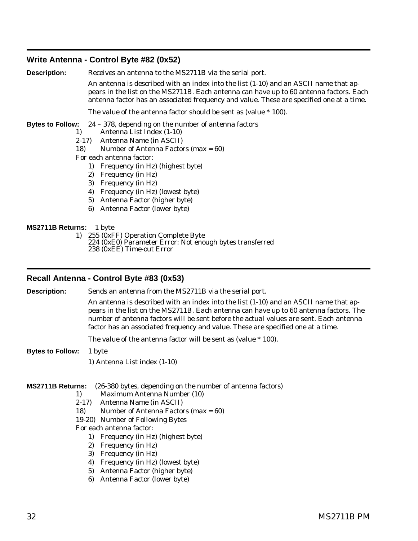## <span id="page-35-0"></span>**Write Antenna - Control Byte #82 (0x52)**

**Description:** Receives an antenna to the MS2711B via the serial port.

An antenna is described with an index into the list (1-10) and an ASCII name that appears in the list on the MS2711B. Each antenna can have up to 60 antenna factors. Each antenna factor has an associated frequency and value. These are specified one at a time.

The value of the antenna factor should be sent as (value \* 100).

**Bytes to Follow:** 24 – 378, depending on the number of antenna factors

- 1) Antenna List Index (1-10)
- 2-17) Antenna Name (in ASCII)
- 18) Number of Antenna Factors (max = 60)
- For each antenna factor:
	- 1) Frequency (in Hz) (highest byte)
	- 2) Frequency (in Hz)
	- 3) Frequency (in Hz)
	- 4) Frequency (in Hz) (lowest byte)
	- 5) Antenna Factor (higher byte)
	- 6) Antenna Factor (lower byte)

**MS2711B Returns:** 1 byte

1) 255 (0xFF) Operation Complete Byte 224 (0xE0) Parameter Error: Not enough bytes transferred 238 (0xEE) Time-out Error

## **Recall Antenna - Control Byte #83 (0x53)**

**Description:** Sends an antenna from the MS2711B via the serial port. An antenna is described with an index into the list (1-10) and an ASCII name that appears in the list on the MS2711B. Each antenna can have up to 60 antenna factors. The number of antenna factors will be sent before the actual values are sent. Each antenna factor has an associated frequency and value. These are specified one at a time.

The value of the antenna factor will be sent as (value \* 100).

- **Bytes to Follow:** 1 byte
	- 1) Antenna List index (1-10)

#### **MS2711B Returns:** (26-380 bytes, depending on the number of antenna factors)

- 1) Maximum Antenna Number (10)
- 2-17) Antenna Name (in ASCII)
- 18) Number of Antenna Factors (max = 60)
- 19-20) Number of Following Bytes
- For each antenna factor:
	- 1) Frequency (in Hz) (highest byte)
	- 2) Frequency (in Hz)
	- 3) Frequency (in Hz)
	- 4) Frequency (in Hz) (lowest byte)
	- 5) Antenna Factor (higher byte)
	- 6) Antenna Factor (lower byte)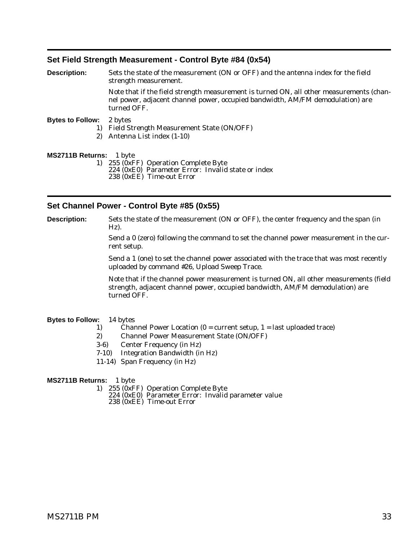## <span id="page-36-0"></span>**Set Field Strength Measurement - Control Byte #84 (0x54)**

| <b>Description:</b>     | Sets the state of the measurement (ON or OFF) and the antenna index for the field<br>strength measurement.                                                                               |  |  |
|-------------------------|------------------------------------------------------------------------------------------------------------------------------------------------------------------------------------------|--|--|
|                         | Note that if the field strength measurement is turned ON, all other measurements (chan-<br>nel power, adjacent channel power, occupied bandwidth, AM/FM demodulation) are<br>turned OFF. |  |  |
| <b>Bytes to Follow:</b> | 2 bytes                                                                                                                                                                                  |  |  |
| 1)                      | <b>Field Strength Measurement State (ON/OFF)</b>                                                                                                                                         |  |  |
| 2)                      | Antenna List index (1-10)                                                                                                                                                                |  |  |
| MS2711B Returns: 1 byte |                                                                                                                                                                                          |  |  |
|                         | $\left\{ \begin{array}{ccc} 1 & 0 \\ 0 & 1 \end{array} \right\}$                                                                                                                         |  |  |

- 1) 255 (0xFF) Operation Complete Byte 224 (0xE0) Parameter Error: Invalid state or index
	- 238 (0xEE) Time-out Error

## **Set Channel Power - Control Byte #85 (0x55)**

**Description:** Sets the state of the measurement (ON or OFF), the center frequency and the span (in Hz).

> Send a 0 (zero) following the command to set the channel power measurement in the current setup.

> Send a 1 (one) to set the channel power associated with the trace that was most recently uploaded by command #26, Upload Sweep Trace.

Note that if the channel power measurement is turned ON, all other measurements (field strength, adjacent channel power, occupied bandwidth, AM/FM demodulation) are turned OFF.

#### **Bytes to Follow:** 14 bytes

- 1) Channel Power Location  $(0 =$  current setup,  $1 =$  last uploaded trace)
- 2) Channel Power Measurement State (ON/OFF)
- 3-6) Center Frequency (in Hz)
- 7-10) Integration Bandwidth (in Hz)
- 11-14) Span Frequency (in Hz)

- 1) 255 (0xFF) Operation Complete Byte
	- 224 (0xE0) Parameter Error: Invalid parameter value
	- 238 (0xEE) Time-out Error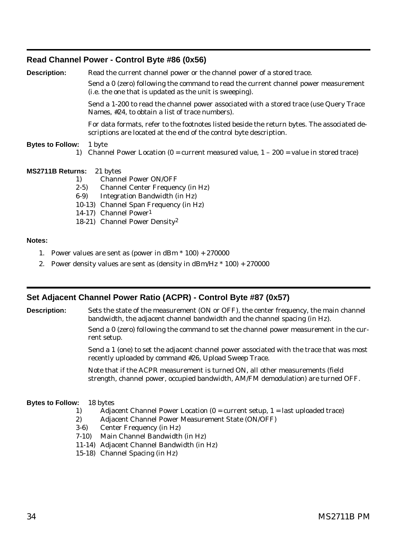## <span id="page-37-0"></span>**Read Channel Power - Control Byte #86 (0x56)**

| <b>Description:</b>     | Read the current channel power or the channel power of a stored trace.                                                                                            |  |  |  |  |
|-------------------------|-------------------------------------------------------------------------------------------------------------------------------------------------------------------|--|--|--|--|
|                         | Send a 0 (zero) following the command to read the current channel power measurement<br>(i.e. the one that is updated as the unit is sweeping).                    |  |  |  |  |
|                         | Send a 1-200 to read the channel power associated with a stored trace (use Query Trace<br>Names, #24, to obtain a list of trace numbers).                         |  |  |  |  |
|                         | For data formats, refer to the footnotes listed beside the return bytes. The associated de-<br>scriptions are located at the end of the control byte description. |  |  |  |  |
| <b>Bytes to Follow:</b> | 1 byte<br>1) Channel Power Location $(0 =$ current measured value, $1 - 200 =$ value in stored trace)                                                             |  |  |  |  |
| <b>MS2711B Returns:</b> | 21 bytes                                                                                                                                                          |  |  |  |  |
| 1)                      | <b>Channel Power ON/OFF</b>                                                                                                                                       |  |  |  |  |
| $2-5$                   | <b>Channel Center Frequency (in Hz)</b>                                                                                                                           |  |  |  |  |
| $6-9$                   | Integration Bandwidth (in Hz)                                                                                                                                     |  |  |  |  |
|                         | 10-13) Channel Span Frequency (in Hz)                                                                                                                             |  |  |  |  |
|                         | 14-17) Channel Power <sup>1</sup>                                                                                                                                 |  |  |  |  |
|                         | 18-21) Channel Power Density <sup>2</sup>                                                                                                                         |  |  |  |  |

#### **Notes:**

- 1. Power values are sent as (power in dBm  $*$  100) + 270000
- 2. Power density values are sent as (density in  $dBm/Hz * 100 + 270000$

## **Set Adjacent Channel Power Ratio (ACPR) - Control Byte #87 (0x57)**

**Description:** Sets the state of the measurement (ON or OFF), the center frequency, the main channel bandwidth, the adjacent channel bandwidth and the channel spacing (in Hz).

> Send a 0 (zero) following the command to set the channel power measurement in the current setup.

> Send a 1 (one) to set the adjacent channel power associated with the trace that was most recently uploaded by command #26, Upload Sweep Trace.

Note that if the ACPR measurement is turned ON, all other measurements (field strength, channel power, occupied bandwidth, AM/FM demodulation) are turned OFF.

#### **Bytes to Follow:** 18 bytes

- 1) Adjacent Channel Power Location  $(0 =$  current setup,  $1 =$  last uploaded trace)
- 2) Adjacent Channel Power Measurement State (ON/OFF)
- 3-6) Center Frequency (in Hz)
- 7-10) Main Channel Bandwidth (in Hz)
- 11-14) Adjacent Channel Bandwidth (in Hz)
- 15-18) Channel Spacing (in Hz)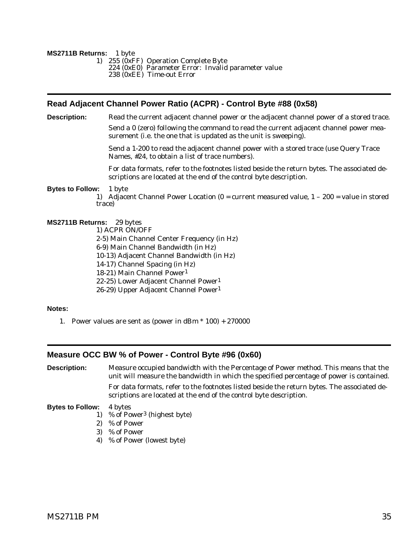#### <span id="page-38-0"></span>**MS2711B Returns:** 1 byte

- 1) 255 (0xFF) Operation Complete Byte
	- $224 (0xE0)$  Parameter Error: Invalid parameter value
	- 238 (0xEE) Time-out Error

## **Read Adjacent Channel Power Ratio (ACPR) - Control Byte #88 (0x58)**

**Description:** Read the current adjacent channel power or the adjacent channel power of a stored trace.

Send a 0 (zero) following the command to read the current adjacent channel power measurement (i.e. the one that is updated as the unit is sweeping).

Send a 1-200 to read the adjacent channel power with a stored trace (use Query Trace Names, #24, to obtain a list of trace numbers).

For data formats, refer to the footnotes listed beside the return bytes. The associated descriptions are located at the end of the control byte description.

#### **Bytes to Follow:** 1 byte

1) Adjacent Channel Power Location  $(0 =$  current measured value,  $1 - 200 =$  value in stored trace)

#### **MS2711B Returns:** 29 bytes

1) ACPR ON/OFF

- 2-5) Main Channel Center Frequency (in Hz)
- 6-9) Main Channel Bandwidth (in Hz)
- 10-13) Adjacent Channel Bandwidth (in Hz)
- 14-17) Channel Spacing (in Hz)
- 18-21) Main Channel Power1
- 22-25) Lower Adjacent Channel Power1
- 26-29) Upper Adjacent Channel Power1

#### **Notes:**

1. Power values are sent as (power in dBm  $*$  100) + 270000

## **Measure OCC BW % of Power - Control Byte #96 (0x60)**

**Description:** Measure occupied bandwidth with the Percentage of Power method. This means that the unit will measure the bandwidth in which the specified percentage of power is contained. For data formats, refer to the footnotes listed beside the return bytes. The associated de-

scriptions are located at the end of the control byte description.

#### **Bytes to Follow:** 4 bytes

- 1) % of Power3 (highest byte)
- 2) % of Power
- 3) % of Power
- 4) % of Power (lowest byte)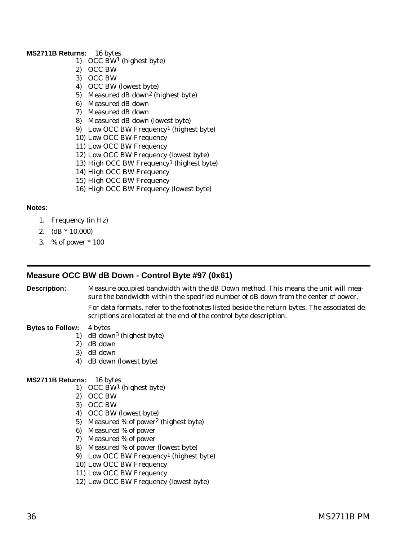#### <span id="page-39-0"></span>**MS2711B Returns:** 16 bytes

- 1) OCC BW1 (highest byte)
- 2) OCC BW
- 3) OCC BW
- 4) OCC BW (lowest byte)
- 5) Measured dB down2 (highest byte)
- 6) Measured dB down
- 7) Measured dB down
- 8) Measured dB down (lowest byte)
- 9) Low OCC BW Frequency1 (highest byte)
- 10) Low OCC BW Frequency
- 11) Low OCC BW Frequency
- 12) Low OCC BW Frequency (lowest byte)
- 13) High OCC BW Frequency1 (highest byte)
- 14) High OCC BW Frequency
- 15) High OCC BW Frequency
- 16) High OCC BW Frequency (lowest byte)

#### **Notes:**

- 1. Frequency (in Hz)
- 2.  $(dB * 10,000)$
- 3. % of power \* 100

## **Measure OCC BW dB Down - Control Byte #97 (0x61)**

**Description:** Measure occupied bandwidth with the dB Down method. This means the unit will measure the bandwidth within the specified number of dB down from the center of power.

> For data formats, refer to the footnotes listed beside the return bytes. The associated descriptions are located at the end of the control byte description.

#### **Bytes to Follow:** 4 bytes

- 1) dB down3 (highest byte)
- 2) dB down
- 3) dB down
- 4) dB down (lowest byte)

- 1) OCC BW1 (highest byte)
- 2) OCC BW
- 3) OCC BW
- 4) OCC BW (lowest byte)
- 5) Measured % of power2 (highest byte)
- 6) Measured % of power
- 7) Measured % of power
- 8) Measured % of power (lowest byte)
- 9) Low OCC BW Frequency1 (highest byte)
- 10) Low OCC BW Frequency
- 11) Low OCC BW Frequency
- 12) Low OCC BW Frequency (lowest byte)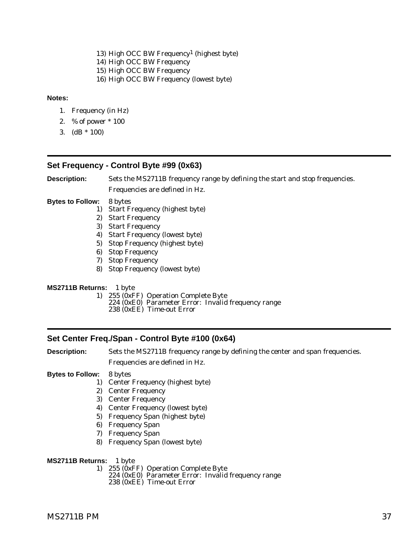<span id="page-40-0"></span>13) High OCC BW Frequency1 (highest byte) 14) High OCC BW Frequency 15) High OCC BW Frequency 16) High OCC BW Frequency (lowest byte)

#### **Notes:**

- 1. Frequency (in Hz)
- 2. % of power \* 100
- 3.  $(dB * 100)$

## **Set Frequency - Control Byte #99 (0x63)**

**Description:** Sets the MS2711B frequency range by defining the start and stop frequencies.

Frequencies are defined in Hz.

**Bytes to Follow:** 8 bytes

- 1) Start Frequency (highest byte)
- 2) Start Frequency
- 3) Start Frequency
- 4) Start Frequency (lowest byte)
- 5) Stop Frequency (highest byte)
- 6) Stop Frequency
- 7) Stop Frequency
- 8) Stop Frequency (lowest byte)

#### **MS2711B Returns:** 1 byte

- 1) 255 (0xFF) Operation Complete Byte
	- 224 (0xE0) Parameter Error: Invalid frequency range
	- 238 (0xEE) Time-out Error

## **Set Center Freq./Span - Control Byte #100 (0x64)**

**Description:** Sets the MS2711B frequency range by defining the center and span frequencies. Frequencies are defined in Hz.

#### **Bytes to Follow:** 8 bytes

- 1) Center Frequency (highest byte)
- 2) Center Frequency
- 3) Center Frequency
- 4) Center Frequency (lowest byte)
- 5) Frequency Span (highest byte)
- 6) Frequency Span
- 7) Frequency Span
- 8) Frequency Span (lowest byte)

- **MS2711B Returns:** 1 byte<br>1) 255 (0xFF) Operation Complete Byte
	- $224$  (0xE0) Parameter Error: Invalid frequency range
	- 238 (0xEE) Time-out Error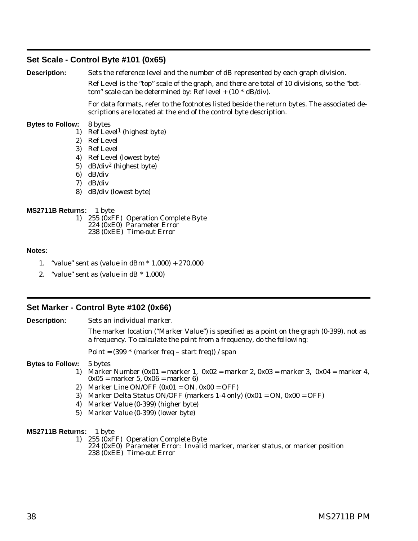## <span id="page-41-0"></span>**Set Scale - Control Byte #101 (0x65)**

**Description:** Sets the reference level and the number of dB represented by each graph division.

Ref Level is the "top" scale of the graph, and there are total of 10 divisions, so the "bottom" scale can be determined by: Ref level  $+$  (10  $*$  dB/div).

For data formats, refer to the footnotes listed beside the return bytes. The associated descriptions are located at the end of the control byte description.

#### **Bytes to Follow:** 8 bytes

- 1) Ref Level1 (highest byte)
- 2) Ref Level
- 3) Ref Level
- 4) Ref Level (lowest byte)
- 5) dB/div2 (highest byte)
- 6) dB/div
- 7) dB/div
- 8) dB/div (lowest byte)

#### **MS2711B Returns:** 1 byte

1) 255 (0xFF) Operation Complete Byte 224 (0xE0) Parameter Error 238 (0xEE) Time-out Error

#### **Notes:**

- 1. "value" sent as (value in dBm \* 1,000) + 270,000
- 2. "value" sent as (value in  $dB * 1,000$ )

## **Set Marker - Control Byte #102 (0x66)**

**Description:** Sets an individual marker.

The marker location ("Marker Value") is specified as a point on the graph (0-399), not as a frequency. To calculate the point from a frequency, do the following:

Point =  $(399 * (marker freq - start freq)) / span$ 

#### **Bytes to Follow:** 5 bytes

- 1) Marker Number (0x01 = marker 1, 0x02 = marker 2, 0x03 = marker 3, 0x04 = marker 4,  $0x05 =$  marker 5,  $0x06 =$  marker 6)
- 2) Marker Line ON/OFF  $(0x01 = ON, 0x00 = OFF)$
- 3) Marker Delta Status ON/OFF (markers 1-4 only)  $(0x01 = ON, 0x00 = OFF)$
- 4) Marker Value (0-399) (higher byte)
- 5) Marker Value (0-399) (lower byte)

- 1) 255 (0xFF) Operation Complete Byte
	- 224 (0xE0) Parameter Error: Invalid marker, marker status, or marker position 238 (0xEE) Time-out Error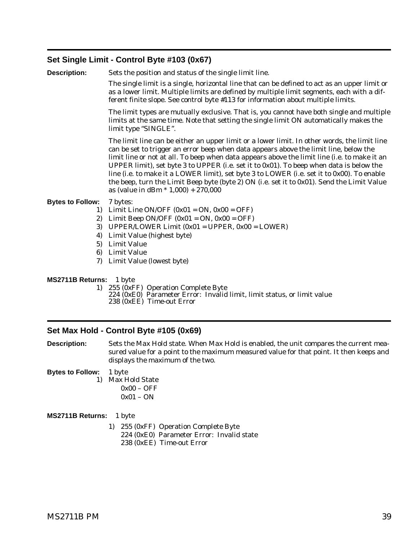## <span id="page-42-0"></span>**Set Single Limit - Control Byte #103 (0x67)**

**Description:** Sets the position and status of the single limit line.

The single limit is a single, horizontal line that can be defined to act as an upper limit or as a lower limit. Multiple limits are defined by multiple limit segments, each with a different finite slope. See control byte #113 for information about multiple limits.

The limit types are mutually exclusive. That is, you cannot have both single and multiple limits at the same time. Note that setting the single limit ON automatically makes the limit type "SINGLE".

The limit line can be either an upper limit or a lower limit. In other words, the limit line can be set to trigger an error beep when data appears above the limit line, below the limit line or not at all. To beep when data appears above the limit line (i.e. to make it an UPPER limit), set byte 3 to UPPER (i.e. set it to 0x01). To beep when data is below the line (i.e. to make it a LOWER limit), set byte 3 to LOWER (i.e. set it to 0x00). To enable the beep, turn the Limit Beep byte (byte 2) ON (i.e. set it to 0x01). Send the Limit Value as (value in dBm \* 1,000) + 270,000

#### **Bytes to Follow:** 7 bytes:

- 1) Limit Line ON/OFF  $(0x01 = ON, 0x00 = OFF)$
- 2) Limit Beep ON/OFF  $(0x01 = ON, 0x00 = OFF)$
- 3) UPPER/LOWER Limit (0x01 = UPPER, 0x00 = LOWER)
- 4) Limit Value (highest byte)
- 5) Limit Value
- 6) Limit Value
- 7) Limit Value (lowest byte)

**MS2711B Returns:** 1 byte

- 1) 255 (0xFF) Operation Complete Byte
	- 224 (0xE0) Parameter Error: Invalid limit, limit status, or limit value
	- 238 (0xEE) Time-out Error

#### **Set Max Hold - Control Byte #105 (0x69)**

**Description:** Sets the Max Hold state. When Max Hold is enabled, the unit compares the current measured value for a point to the maximum measured value for that point. It then keeps and displays the maximum of the two.

**Bytes to Follow:** 1 byte

1) Max Hold State  $0x00 - OFF$  $0x01 - ON$ 

**MS2711B Returns:** 1 byte

1) 255 (0xFF) Operation Complete Byte 224 (0xE0) Parameter Error: Invalid state 238 (0xEE) Time-out Error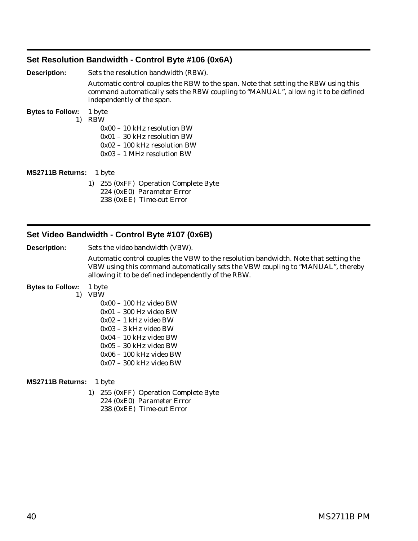## <span id="page-43-0"></span>**Set Resolution Bandwidth - Control Byte #106 (0x6A)**

**Description:** Sets the resolution bandwidth (RBW). Automatic control couples the RBW to the span. Note that setting the RBW using this command automatically sets the RBW coupling to "MANUAL", allowing it to be defined independently of the span. **Bytes to Follow:** 1 byte 1) RBW 0x00 – 10 kHz resolution BW 0x01 – 30 kHz resolution BW 0x02 – 100 kHz resolution BW 0x03 – 1 MHz resolution BW **MS2711B Returns:** 1 byte 1) 255 (0xFF) Operation Complete Byte

224 (0xE0) Parameter Error 238 (0xEE) Time-out Error

## **Set Video Bandwidth - Control Byte #107 (0x6B)**

**Description:** Sets the video bandwidth (VBW).

Automatic control couples the VBW to the resolution bandwidth. Note that setting the VBW using this command automatically sets the VBW coupling to "MANUAL", thereby allowing it to be defined independently of the RBW.

#### **Bytes to Follow:** 1 byte

- 1) VBW
	- 0x00 100 Hz video BW
	- 0x01 300 Hz video BW
	- 0x02 1 kHz video BW
	- 0x03 3 kHz video BW
	- 0x04 10 kHz video BW
	- 0x05 30 kHz video BW
	- 0x06 100 kHz video BW
	- 0x07 300 kHz video BW

- 1) 255 (0xFF) Operation Complete Byte
	- 224 (0xE0) Parameter Error
	- 238 (0xEE) Time-out Error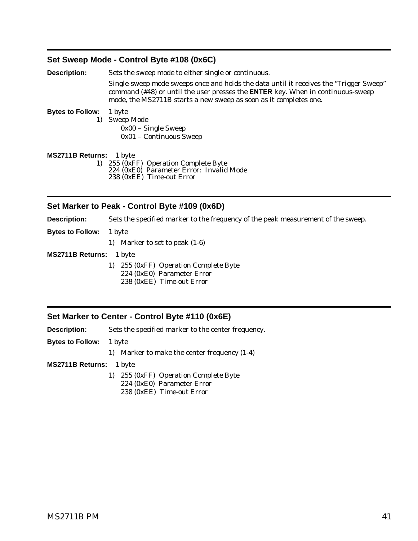## <span id="page-44-0"></span>**Set Sweep Mode - Control Byte #108 (0x6C)**

| <b>Description:</b>               | Sets the sweep mode to either single or continuous.                                                                                                                                                                                                   |  |  |
|-----------------------------------|-------------------------------------------------------------------------------------------------------------------------------------------------------------------------------------------------------------------------------------------------------|--|--|
|                                   | Single-sweep mode sweeps once and holds the data until it receives the "Trigger Sweep"<br>command (#48) or until the user presses the <b>ENTER</b> key. When in continuous-sweep<br>mode, the MS2711B starts a new sweep as soon as it completes one. |  |  |
| <b>Bytes to Follow:</b><br>1 byte |                                                                                                                                                                                                                                                       |  |  |
|                                   | <b>Sweep Mode</b>                                                                                                                                                                                                                                     |  |  |
|                                   | $0x00$ – Single Sweep                                                                                                                                                                                                                                 |  |  |
|                                   | 0x01 - Continuous Sweep                                                                                                                                                                                                                               |  |  |
| MS2711B Returns: 1 byte           |                                                                                                                                                                                                                                                       |  |  |
| 1)                                | 255 (0xFF) Operation Complete Byte                                                                                                                                                                                                                    |  |  |
|                                   | 224 (0xE0) Parameter Error: Invalid Mode                                                                                                                                                                                                              |  |  |

238 (0xEE) Time-out Error

## **Set Marker to Peak - Control Byte #109 (0x6D)**

**Description:** Sets the specified marker to the frequency of the peak measurement of the sweep.

**Bytes to Follow:** 1 byte

1) Marker to set to peak (1-6)

**MS2711B Returns:** 1 byte

- 1) 255 (0xFF) Operation Complete Byte 224 (0xE0) Parameter Error
	- 238 (0xEE) Time-out Error

## **Set Marker to Center - Control Byte #110 (0x6E)**

**Description:** Sets the specified marker to the center frequency.

**Bytes to Follow:** 1 byte

1) Marker to make the center frequency (1-4)

- 1) 255 (0xFF) Operation Complete Byte
	- 224 (0xE0) Parameter Error
	- 238 (0xEE) Time-out Error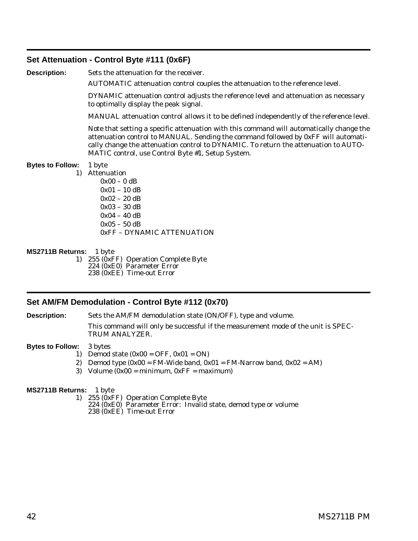## <span id="page-45-0"></span>**Set Attenuation - Control Byte #111 (0x6F)**

**Description:** Sets the attenuation for the receiver.

AUTOMATIC attenuation control couples the attenuation to the reference level.

DYNAMIC attenuation control adjusts the reference level and attenuation as necessary to optimally display the peak signal.

MANUAL attenuation control allows it to be defined independently of the reference level.

Note that setting a specific attenuation with this command will automatically change the attenuation control to MANUAL. Sending the command followed by 0xFF will automatically change the attenuation control to DYNAMIC. To return the attenuation to AUTO-MATIC control, use Control Byte #1, Setup System.

#### **Bytes to Follow:** 1 byte

- 1) Attenuation
	- $0x00 0$  dB 0x01 – 10 dB 0x02 – 20 dB 0x03 – 30 dB 0x04 – 40 dB  $0x05 - 50$  dB 0xFF – DYNAMIC ATTENUATION

#### **MS2711B Returns:** 1 byte

1) 255 (0xFF) Operation Complete Byte 224 (0xE0) Parameter Error 238 (0xEE) Time-out Error

## **Set AM/FM Demodulation - Control Byte #112 (0x70)**

**Description:** Sets the AM/FM demodulation state (ON/OFF), type and volume.

This command will only be successful if the measurement mode of the unit is SPEC-TRUM ANALYZER.

#### **Bytes to Follow:** 3 bytes

- 1) Demod state  $(0x00 = OFF, 0x01 = ON)$
- 2) Demod type  $(0x00 = FM-Wide band, 0x01 = FM-Narrow band, 0x02 = AM)$
- 3) Volume  $(0x00 = \text{minimum}, 0xFF = \text{maximum})$

- 1) 255 (0xFF) Operation Complete Byte
	- 224 (0xE0) Parameter Error: Invalid state, demod type or volume 238 (0xEE) Time-out Error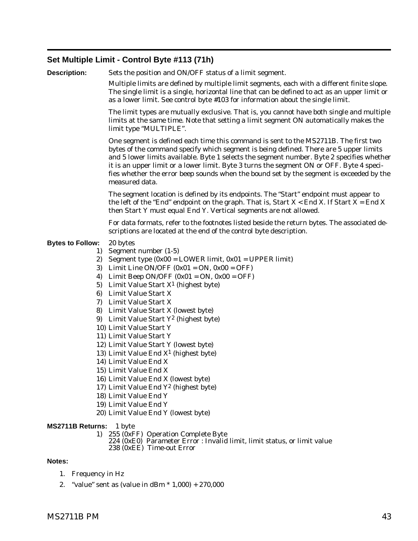## <span id="page-46-0"></span>**Set Multiple Limit - Control Byte #113 (71h)**

| <b>Description:</b>     |          | Sets the position and ON/OFF status of a limit segment.                                                                                                                                                                                                                                                                                                                                                                                                                            |
|-------------------------|----------|------------------------------------------------------------------------------------------------------------------------------------------------------------------------------------------------------------------------------------------------------------------------------------------------------------------------------------------------------------------------------------------------------------------------------------------------------------------------------------|
|                         |          | Multiple limits are defined by multiple limit segments, each with a different finite slope.<br>The single limit is a single, horizontal line that can be defined to act as an upper limit or<br>as a lower limit. See control byte #103 for information about the single limit.                                                                                                                                                                                                    |
|                         |          | The limit types are mutually exclusive. That is, you cannot have both single and multiple<br>limits at the same time. Note that setting a limit segment ON automatically makes the<br>limit type "MULTIPLE".                                                                                                                                                                                                                                                                       |
|                         |          | One segment is defined each time this command is sent to the MS2711B. The first two<br>bytes of the command specify which segment is being defined. There are 5 upper limits<br>and 5 lower limits available. Byte 1 selects the segment number. Byte 2 specifies whether<br>it is an upper limit or a lower limit. Byte 3 turns the segment ON or OFF. Byte 4 speci-<br>fies whether the error beep sounds when the bound set by the segment is exceeded by the<br>measured data. |
|                         |          | The segment location is defined by its endpoints. The "Start" endpoint must appear to<br>the left of the "End" endpoint on the graph. That is, Start $X <$ End X. If Start $X =$ End X<br>then Start Y must equal End Y. Vertical segments are not allowed.                                                                                                                                                                                                                        |
|                         |          | For data formats, refer to the footnotes listed beside the return bytes. The associated de-<br>scriptions are located at the end of the control byte description.                                                                                                                                                                                                                                                                                                                  |
| <b>Bytes to Follow:</b> |          | 20 bytes                                                                                                                                                                                                                                                                                                                                                                                                                                                                           |
|                         | 1)       | Segment number (1-5)                                                                                                                                                                                                                                                                                                                                                                                                                                                               |
|                         |          | 2) Segment type $(0x00 = LOWER limit, 0x01 = UPPER limit)$                                                                                                                                                                                                                                                                                                                                                                                                                         |
|                         |          | 3) Limit Line ON/OFF $(0x01 = ON, 0x00 = OFF)$                                                                                                                                                                                                                                                                                                                                                                                                                                     |
|                         | 4)       | Limit Beep ON/OFF $(0x01 = ON, 0x00 = OFF)$                                                                                                                                                                                                                                                                                                                                                                                                                                        |
|                         | 5)<br>6) | Limit Value Start $X^1$ (highest byte)<br>Limit Value Start X                                                                                                                                                                                                                                                                                                                                                                                                                      |
|                         | 7)       | Limit Value Start X                                                                                                                                                                                                                                                                                                                                                                                                                                                                |
|                         |          | 8) Limit Value Start X (lowest byte)                                                                                                                                                                                                                                                                                                                                                                                                                                               |
|                         | 9)       | Limit Value Start Y <sup>2</sup> (highest byte)                                                                                                                                                                                                                                                                                                                                                                                                                                    |
|                         |          | 10) Limit Value Start Y                                                                                                                                                                                                                                                                                                                                                                                                                                                            |
|                         |          | 11) Limit Value Start Y                                                                                                                                                                                                                                                                                                                                                                                                                                                            |
|                         |          | 12) Limit Value Start Y (lowest byte)                                                                                                                                                                                                                                                                                                                                                                                                                                              |
|                         |          | 13) Limit Value End $X^1$ (highest byte)                                                                                                                                                                                                                                                                                                                                                                                                                                           |
|                         |          | 14) Limit Value End X                                                                                                                                                                                                                                                                                                                                                                                                                                                              |
|                         |          | 15) Limit Value End X                                                                                                                                                                                                                                                                                                                                                                                                                                                              |
|                         |          | 16) Limit Value End X (lowest byte)                                                                                                                                                                                                                                                                                                                                                                                                                                                |
|                         |          | 17) Limit Value End Y <sup>2</sup> (highest byte)                                                                                                                                                                                                                                                                                                                                                                                                                                  |
|                         |          | 18) Limit Value End Y<br>19) Limit Value End Y                                                                                                                                                                                                                                                                                                                                                                                                                                     |
|                         |          | 20) Limit Value End Y (lowest byte)                                                                                                                                                                                                                                                                                                                                                                                                                                                |
|                         |          |                                                                                                                                                                                                                                                                                                                                                                                                                                                                                    |
| <b>MS2711B Returns:</b> |          | 1 byte                                                                                                                                                                                                                                                                                                                                                                                                                                                                             |
|                         | 1)       | 255 (0xFF) Operation Complete Byte<br>224 (0xE0) Parameter Error : Invalid limit, limit status, or limit value<br>238 (0xEE) Time-out Error                                                                                                                                                                                                                                                                                                                                        |
|                         |          |                                                                                                                                                                                                                                                                                                                                                                                                                                                                                    |

## **Notes:**

- 1. Frequency in Hz
- 2. "value" sent as (value in dBm \* 1,000) + 270,000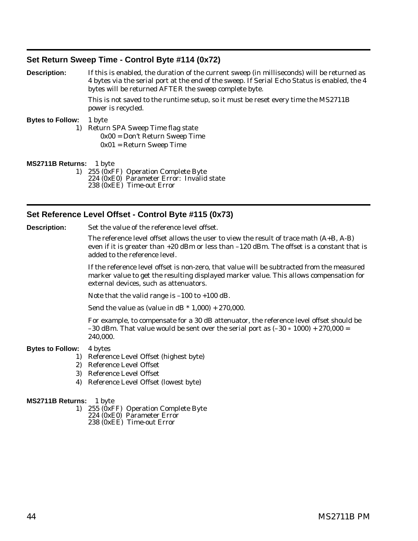## <span id="page-47-0"></span>**Set Return Sweep Time - Control Byte #114 (0x72)**

| <b>Description:</b>            | If this is enabled, the duration of the current sweep (in milliseconds) will be returned as<br>4 bytes via the serial port at the end of the sweep. If Serial Echo Status is enabled, the 4<br>bytes will be returned AFTER the sweep complete byte. |  |  |
|--------------------------------|------------------------------------------------------------------------------------------------------------------------------------------------------------------------------------------------------------------------------------------------------|--|--|
|                                | This is not saved to the runtime setup, so it must be reset every time the MS2711B<br>power is recycled.                                                                                                                                             |  |  |
| <b>Bytes to Follow:</b>        | 1 byte<br>1) Return SPA Sweep Time flag state<br>$0x00 = Don't Return Sweep Time$<br>$0x01$ = Return Sweep Time                                                                                                                                      |  |  |
| <b>MS2711B Returns:</b> 1 byte |                                                                                                                                                                                                                                                      |  |  |

1) 255 (0xFF) Operation Complete Byte 224 (0xE0) Parameter Error: Invalid state 238 (0xEE) Time-out Error

## **Set Reference Level Offset - Control Byte #115 (0x73)**

**Description:** Set the value of the reference level offset.

The reference level offset allows the user to view the result of trace math (A+B, A-B) even if it is greater than  $+20$  dBm or less than  $-120$  dBm. The offset is a constant that is added to the reference level.

If the reference level offset is non-zero, that value will be subtracted from the measured marker value to get the resulting displayed marker value. This allows compensation for external devices, such as attenuators.

Note that the valid range is –100 to +100 dB.

Send the value as (value in dB  $*$  1,000) + 270,000.

For example, to compensate for a 30 dB attenuator, the reference level offset should be –30 dBm. That value would be sent over the serial port as (–30  $\ast$  1000) + 270,000 = 240,000.

#### **Bytes to Follow:** 4 bytes

- 1) Reference Level Offset (highest byte)
- 2) Reference Level Offset
- 3) Reference Level Offset
- 4) Reference Level Offset (lowest byte)

- 1) 255 (0xFF) Operation Complete Byte 224 (0xE0) Parameter Error
	- 238 (0xEE) Time-out Error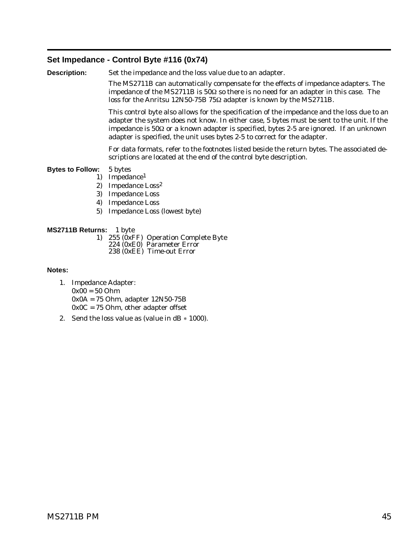## <span id="page-48-0"></span>**Set Impedance - Control Byte #116 (0x74)**

**Description:** Set the impedance and the loss value due to an adapter.

The MS2711B can automatically compensate for the effects of impedance adapters. The impedance of the MS2711B is  $50\Omega$  so there is no need for an adapter in this case. The loss for the Anritsu 12N50-75B 75 $\Omega$  adapter is known by the MS2711B.

This control byte also allows for the specification of the impedance and the loss due to an adapter the system does not know. In either case, 5 bytes must be sent to the unit. If the impedance is  $50\Omega$  or a known adapter is specified, bytes 2-5 are ignored. If an unknown adapter is specified, the unit uses bytes 2-5 to correct for the adapter.

For data formats, refer to the footnotes listed beside the return bytes. The associated descriptions are located at the end of the control byte description.

#### **Bytes to Follow:** 5 bytes

- 1) Impedance1
- 2) Impedance Loss2
- 3) Impedance Loss
- 4) Impedance Loss
- 5) Impedance Loss (lowest byte)

#### **MS2711B Returns:** 1 byte

- 1) 255 (0xFF) Operation Complete Byte 224 (0xE0) Parameter Error
	- 238 (0xEE) Time-out Error

#### **Notes:**

- 1. Impedance Adapter: 0x00 = 50 Ohm 0x0A = 75 Ohm, adapter 12N50-75B  $0x0C = 75$  Ohm, other adapter offset
- 2. Send the loss value as (value in  $dB * 1000$ ).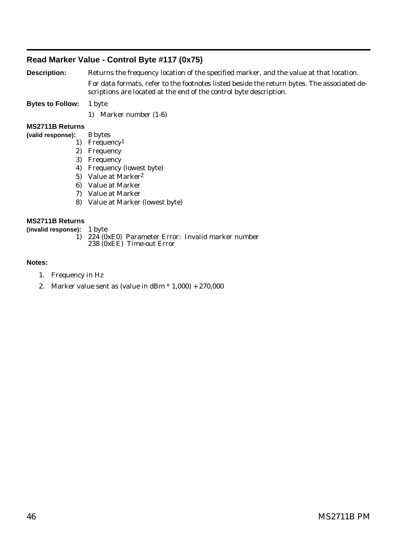## <span id="page-49-0"></span>**Read Marker Value - Control Byte #117 (0x75)**

**Description:** Returns the frequency location of the specified marker, and the value at that location. For data formats, refer to the footnotes listed beside the return bytes. The associated descriptions are located at the end of the control byte description.

**Bytes to Follow:** 1 byte

1) Marker number (1-6)

#### **MS2711B Returns**

- **(valid response):** 8 bytes
	- 1) Frequency1
	- 2) Frequency
	- 3) Frequency
	- 4) Frequency (lowest byte)
	- 5) Value at Marker2
	- 6) Value at Marker
	- 7) Value at Marker
	- 8) Value at Marker (lowest byte)

#### **MS2711B Returns**

**(invalid response):** 1 byte

1) 224 (0xE0) Parameter Error: Invalid marker number 238 (0xEE) Time-out Error

#### **Notes:**

- 1. Frequency in Hz
- 2. Marker value sent as (value in dBm  $*$  1,000) + 270,000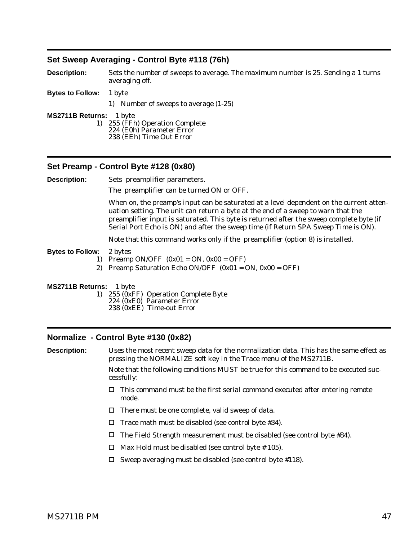## <span id="page-50-0"></span>**Set Sweep Averaging - Control Byte #118 (76h)**

**Description:** Sets the number of sweeps to average. The maximum number is 25. Sending a 1 turns averaging off.

- **Bytes to Follow:** 1 byte
	- 1) Number of sweeps to average (1-25)

**MS2711B Returns:** 1 byte

1) 255 (FFh) Operation Complete 224 (E0h) Parameter Error

238 (EEh) Time Out Error

#### **Set Preamp - Control Byte #128 (0x80)**

**Description:** Sets preamplifier parameters.

The preamplifier can be turned ON or OFF.

When on, the preamp's input can be saturated at a level dependent on the current attenuation setting. The unit can return a byte at the end of a sweep to warn that the preamplifier input is saturated. This byte is returned after the sweep complete byte (if Serial Port Echo is ON) and after the sweep time (if Return SPA Sweep Time is ON).

Note that this command works only if the preamplifier (option 8) is installed.

- **Bytes to Follow:** 2 bytes
	- 1) Preamp ON/OFF  $(0x01 = ON, 0x00 = OFF)$
	- 2) Preamp Saturation Echo ON/OFF  $(0x01 = ON, 0x00 = OFF)$
- **MS2711B Returns:** 1 byte

1) 255 (0xFF) Operation Complete Byte 224 (0xE0) Parameter Error 238 (0xEE) Time-out Error

#### **Normalize - Control Byte #130 (0x82)**

**Description:** Uses the most recent sweep data for the normalization data. This has the same effect as pressing the NORMALIZE soft key in the Trace menu of the MS2711B.

> Note that the following conditions MUST be true for this command to be executed successfully:

- $\Box$  This command must be the first serial command executed after entering remote mode.
- $\Box$  There must be one complete, valid sweep of data.
- $\Box$  Trace math must be disabled (see control byte #34).
- $\Box$  The Field Strength measurement must be disabled (see control byte #84).
- $\Box$  Max Hold must be disabled (see control byte # 105).
- $\Box$  Sweep averaging must be disabled (see control byte #118).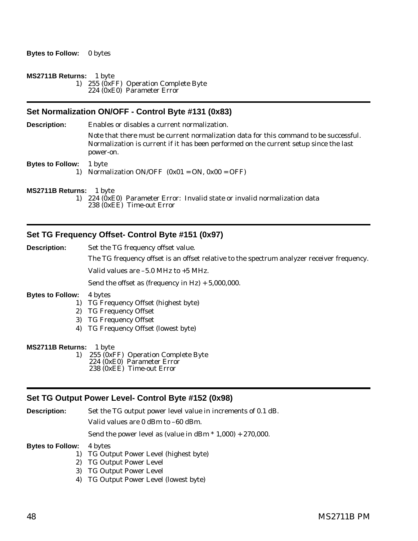#### <span id="page-51-0"></span>**MS2711B Returns:** 1 byte

1) 255 (0xFF) Operation Complete Byte 224 (0xE0) Parameter Error

## **Set Normalization ON/OFF - Control Byte #131 (0x83)**

**Description:** Enables or disables a current normalization.

Note that there must be current normalization data for this command to be successful. Normalization is current if it has been performed on the current setup since the last power-on.

**Bytes to Follow:** 1 byte

1) Normalization  $ON/OFF (0x01 = ON, 0x00 = OFF)$ 

**MS2711B Returns:** 1 byte

1) 224 (0xE0) Parameter Error: Invalid state or invalid normalization data 238 (0xEE) Time-out Error

## **Set TG Frequency Offset- Control Byte #151 (0x97)**

**Description:** Set the TG frequency offset value.

The TG frequency offset is an offset relative to the spectrum analyzer receiver frequency.

Valid values are –5.0 MHz to +5 MHz.

Send the offset as (frequency in  $Hz$ ) + 5,000,000.

#### **Bytes to Follow:** 4 bytes

- 1) TG Frequency Offset (highest byte)
- 2) TG Frequency Offset
- 3) TG Frequency Offset
- 4) TG Frequency Offset (lowest byte)

## **MS2711B Returns:** 1 byte

1) 255 (0xFF) Operation Complete Byte 224 (0xE0) Parameter Error 238 (0xEE) Time-out Error

#### **Set TG Output Power Level- Control Byte #152 (0x98)**

**Description:** Set the TG output power level value in increments of 0.1 dB. Valid values are 0 dBm to –60 dBm.

Send the power level as (value in  $\text{dBm} * 1,000$ ) + 270,000.

**Bytes to Follow:** 4 bytes

- 1) TG Output Power Level (highest byte)
- 2) TG Output Power Level
- 3) TG Output Power Level
- 4) TG Output Power Level (lowest byte)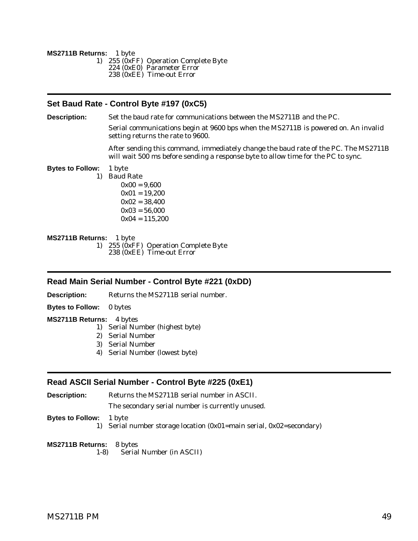<span id="page-52-0"></span>**MS2711B Returns:** 1 byte 1) 255 (0xFF) Operation Complete Byte 224 (0xE0) Parameter Error 238 (0xEE) Time-out Error

## **Set Baud Rate - Control Byte #197 (0xC5)**

**Description:** Set the baud rate for communications between the MS2711B and the PC.

Serial communications begin at 9600 bps when the MS2711B is powered on. An invalid setting returns the rate to 9600.

After sending this command, immediately change the baud rate of the PC. The MS2711B will wait 500 ms before sending a response byte to allow time for the PC to sync.

**Bytes to Follow:** 1 byte

1) Baud Rate

 $0x00 = 9,600$  $0x01 = 19,200$  $0x02 = 38,400$  $0x03 = 56,000$  $0x04 = 115,200$ 

**MS2711B Returns:** 1 byte 1) 255 (0xFF) Operation Complete Byte 238 (0xEE) Time-out Error

## **Read Main Serial Number - Control Byte #221 (0xDD)**

**Description:** Returns the MS2711B serial number.

**Bytes to Follow:** 0 bytes

**MS2711B Returns:** 4 bytes

- 1) Serial Number (highest byte)
- 2) Serial Number
- 3) Serial Number
- 4) Serial Number (lowest byte)

## **Read ASCII Serial Number - Control Byte #225 (0xE1)**

**Description:** Returns the MS2711B serial number in ASCII.

The secondary serial number is currently unused.

**Bytes to Follow:** 1 byte

1) Serial number storage location (0x01=main serial, 0x02=secondary)

**MS2711B Returns:** 8 bytes

1-8) Serial Number (in ASCII)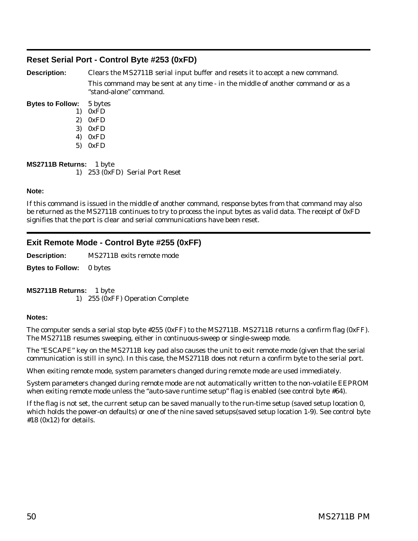## <span id="page-53-0"></span>**Reset Serial Port - Control Byte #253 (0xFD)**

**Description:** Clears the MS2711B serial input buffer and resets it to accept a new command. This command may be sent at any time - in the middle of another command or as a "stand-alone" command.

- **Bytes to Follow:** 5 bytes 1) 0xFD
	- 2) 0xFD
	- 3) 0xFD
	- 4) 0xFD
	- 5) 0xFD

**MS2711B Returns:** 1 byte

1) 253 (0xFD) Serial Port Reset

## **Note:**

If this command is issued in the middle of another command, response bytes from that command may also be returned as the MS2711B continues to try to process the input bytes as valid data. The receipt of 0xFD signifies that the port is clear and serial communications have been reset.

## **Exit Remote Mode - Control Byte #255 (0xFF)**

**Description:** MS2711B exits remote mode

**Bytes to Follow:** 0 bytes

**MS2711B Returns:** 1 byte 1) 255 (0xFF) Operation Complete

## **Notes:**

The computer sends a serial stop byte #255 (0xFF) to the MS2711B. MS2711B returns a confirm flag (0xFF). The MS2711B resumes sweeping, either in continuous-sweep or single-sweep mode.

The "ESCAPE" key on the MS2711B key pad also causes the unit to exit remote mode (given that the serial communication is still in sync). In this case, the MS2711B does not return a confirm byte to the serial port.

When exiting remote mode, system parameters changed during remote mode are used immediately.

System parameters changed during remote mode are not automatically written to the non-volatile EEPROM when exiting remote mode unless the "auto-save runtime setup" flag is enabled (see control byte #64).

If the flag is not set, the current setup can be saved manually to the run-time setup (saved setup location 0, which holds the power-on defaults) or one of the nine saved setups(saved setup location 1-9). See control byte  $#18$  (0x12) for details.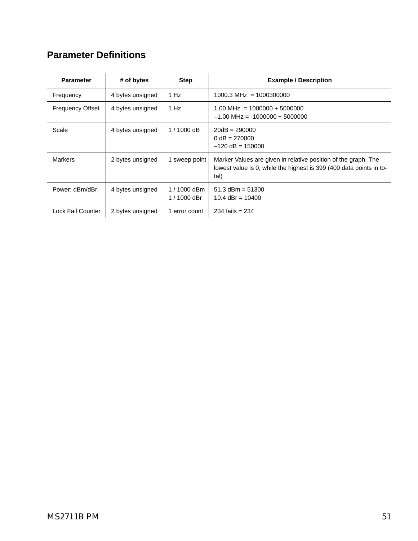# <span id="page-54-0"></span>**Parameter Definitions**

| <b>Parameter</b>        | # of bytes       | <b>Step</b>                  | <b>Example / Description</b>                                                                                                                  |
|-------------------------|------------------|------------------------------|-----------------------------------------------------------------------------------------------------------------------------------------------|
| Frequency               | 4 bytes unsigned | 1 Hz                         | $1000.3 \text{ MHz} = 1000300000$                                                                                                             |
| <b>Frequency Offset</b> | 4 bytes unsigned | 1 Hz                         | $1.00$ MHz = $1000000 + 5000000$<br>$-1.00$ MHz = $-1000000 + 5000000$                                                                        |
| Scale                   | 4 bytes unsigned | $1/1000$ dB                  | $20dB = 290000$<br>$0 dB = 270000$<br>$-120$ dB = 150000                                                                                      |
| <b>Markers</b>          | 2 bytes unsigned | 1 sweep point                | Marker Values are given in relative position of the graph. The<br>lowest value is 0, while the highest is 399 (400 data points in to-<br>tal) |
| Power: dBm/dBr          | 4 bytes unsigned | 1 / 1000 dBm<br>1 / 1000 dBr | $51.3$ dBm = $51300$<br>10.4 $dBr = 10400$                                                                                                    |
| Lock Fail Counter       | 2 bytes unsigned | 1 error count                | $234$ fails = $234$                                                                                                                           |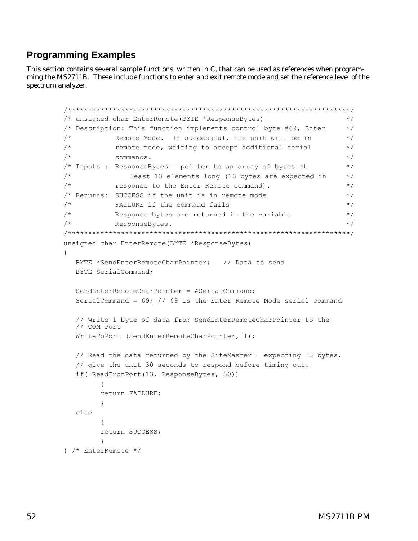# <span id="page-55-0"></span>**Programming Examples**

This section contains several sample functions, written in C, that can be used as references when programming the MS2711B. These include functions to enter and exit remote mode and set the reference level of the spectrum analyzer.

```
/*********************************************************************/
/* unsigned char EnterRemote(BYTE *ResponseBytes) */
/* Description: This function implements control byte #69, Enter */
\frac{1}{x} Remote Mode. If successful, the unit will be in \frac{x}{x}\frac{1}{x} remote mode, waiting to accept additional serial \frac{x}{x}\frac{1}{\sqrt{2}} commands.
\frac{1}{x} Inputs : ResponseBytes = pointer to an array of bytes at \frac{x}{x}/* least 13 elements long (13 bytes are expected in */
\frac{1}{2} response to the Enter Remote command). \frac{1}{2}/* Returns: SUCCESS if the unit is in remote mode */
\frac{1}{x} FAILURE if the command fails \frac{x}{x}/* Response bytes are returned in the variable */
\mathcal{L}^* ResponseBytes. \mathcal{L}^*/*********************************************************************/
unsigned char EnterRemote(BYTE *ResponseBytes)
{
  BYTE *SendEnterRemoteCharPointer; // Data to send
  BYTE SerialCommand;
  SendEnterRemoteCharPointer = &SerialCommand;
  SerialCommand = 69; // 69 is the Enter Remote Mode serial command
  // Write 1 byte of data from SendEnterRemoteCharPointer to the
  // COM Port
  WriteToPort (SendEnterRemoteCharPointer, 1);
  // Read the data returned by the SiteMaster – expecting 13 bytes,
  // give the unit 30 seconds to respond before timing out.
  if(!ReadFromPort(13, ResponseBytes, 30))
        {
       return FAILURE;
        }
  else
        {
        return SUCCESS;
        }
} /* EnterRemote */
```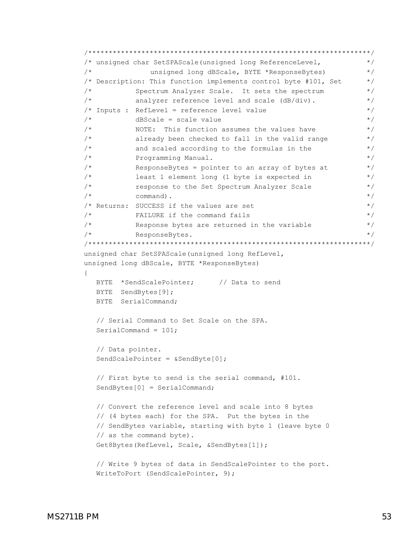```
/*********************************************************************/
/* unsigned char SetSPAScale(unsigned long ReferenceLevel, */
/* unsigned long dBScale, BYTE *ResponseBytes) */
/* Description: This function implements control byte #101, Set */
/* Spectrum Analyzer Scale. It sets the spectrum */
/* analyzer reference level and scale (dB/div). */
/* Inputs : RefLevel = reference level value * */
\frac{1}{x} dBScale = scale value \frac{x}{x}\frac{1}{x} NOTE: This function assumes the values have \frac{x}{x}/* already been checked to fall in the valid range */\frac{1}{x} and scaled according to the formulas in the \frac{x}{x}/* Programming Manual. */
/* ResponseBytes = pointer to an array of bytes at */* least 1 element long (1 byte is expected in */
/* response to the Set Spectrum Analyzer Scale */
\sqrt{\star} command).
\frac{1}{x} Returns: SUCCESS if the values are set \frac{x}{x}\frac{1}{x} FAILURE if the command fails \frac{x}{x}/* Response bytes are returned in the variable */\frac{1}{2} ResponseBytes.
/*********************************************************************/
unsigned char SetSPAScale(unsigned long RefLevel,
unsigned long dBScale, BYTE *ResponseBytes)
{
  BYTE *SendScalePointer; // Data to send
  BYTE SendBytes[9];
  BYTE SerialCommand;
  // Serial Command to Set Scale on the SPA.
  SerialCommand = 101;
  // Data pointer.
  SendScalePointer = &SendByte[0];
  // First byte to send is the serial command, #101.
  SendBytes[0] = SerialCommand;
  // Convert the reference level and scale into 8 bytes
  // (4 bytes each) for the SPA. Put the bytes in the
  // SendBytes variable, starting with byte 1 (leave byte 0
  // as the command byte).
  Get8Bytes(RefLevel, Scale, &SendBytes[1]);
  // Write 9 bytes of data in SendScalePointer to the port.
```

```
WriteToPort (SendScalePointer, 9);
```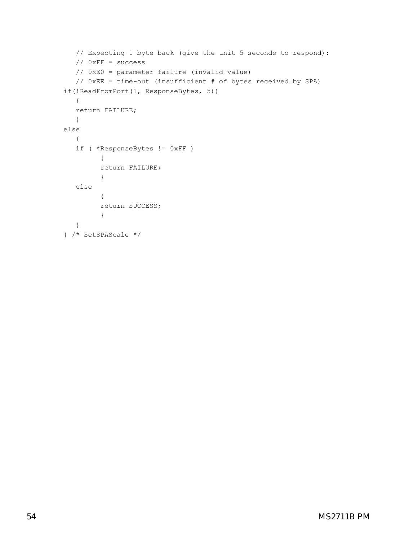```
// Expecting 1 byte back (give the unit 5 seconds to respond):
  // 0xFF = success
  // 0xE0 = parameter failure (invalid value)
  // 0xEE = time-out (insufficient # of bytes received by SPA)
if(!ReadFromPort(1, ResponseBytes, 5))
   {
  return FAILURE;
  }
else
  {
   if ( *ResponseBytes != 0xFF )
         {
         return FAILURE;
         }
  else
         {
         return SUCCESS;
         }
  }
} /* SetSPAScale */
```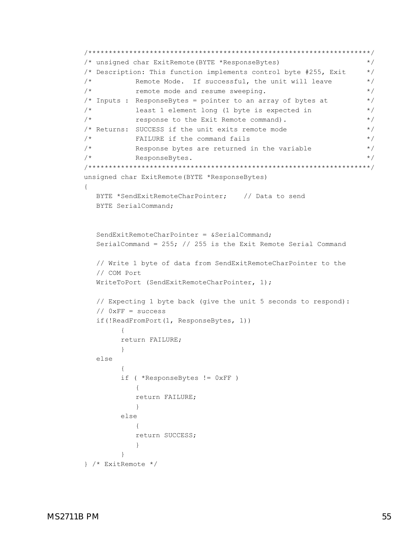```
/*********************************************************************/
/* unsigned char ExitRemote(BYTE *ResponseBytes) */
/* Description: This function implements control byte #255, Exit *//* Remote Mode. If successful, the unit will leave \frac{1}{2}\frac{1}{x} remote mode and resume sweeping. \frac{x}{x}/* Inputs : ResponseBytes = pointer to an array of bytes at *//* least 1 element long (1 byte is expected in */
/* response to the Exit Remote command). *//* Returns: SUCCESS if the unit exits remote mode */
\frac{1}{x} FAILURE if the command fails \frac{x}{x}/* Response bytes are returned in the variable */
\frac{1}{2} ResponseBytes.
/*********************************************************************/
unsigned char ExitRemote(BYTE *ResponseBytes)
{
  BYTE *SendExitRemoteCharPointer; // Data to send
  BYTE SerialCommand;
  SendExitRemoteCharPointer = &SerialCommand;
  SerialCommand = 255; // 255 is the Exit Remote Serial Command
  // Write 1 byte of data from SendExitRemoteCharPointer to the
  // COM Port
  WriteToPort (SendExitRemoteCharPointer, 1);
  // Expecting 1 byte back (give the unit 5 seconds to respond):
  // 0xFF = success
  if(!ReadFromPort(1, ResponseBytes, 1))
       {
       return FAILURE;
       }
  else
       {
       if ( *ResponseBytes != 0xFF )
          {
          return FAILURE;
          }
       else
          {
          return SUCCESS;
          }
       }
} /* ExitRemote */
```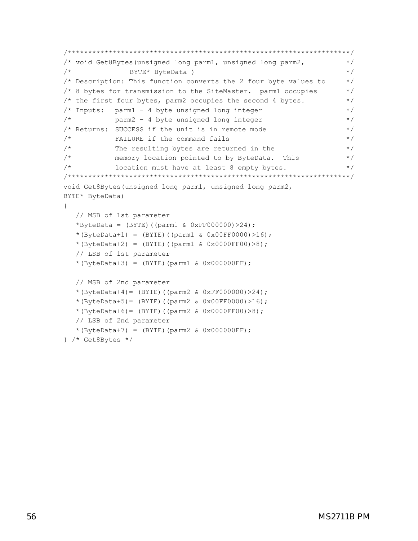```
/*********************************************************************/
/* void Get8Bytes(unsigned long parm1, unsigned long parm2, */
/* BYTE* ByteData ) */
/* Description: This function converts the 2 four byte values to */\frac{1}{10} /* 8 bytes for transmission to the SiteMaster. parm1 occupies \frac{1}{10}/* the first four bytes, parm2 occupies the second 4 bytes. *\frac{1}{x} Inputs: parm1 - 4 byte unsigned long integer \frac{x}{x}\frac{1}{2} parm2 - 4 byte unsigned long integer \frac{1}{2} */
/* Returns: SUCCESS if the unit is in remote mode * /\frac{1}{x} FAILURE if the command fails \frac{x}{x}\frac{1}{2} The resulting bytes are returned in the \frac{1}{2} */
/* memory location pointed to by ByteData. This */
/* location must have at least 8 empty bytes. *//*********************************************************************/
void Get8Bytes(unsigned long parm1, unsigned long parm2,
BYTE* ByteData)
{
  // MSB of 1st parameter
  *ByteData = (BYTE) ((parm1 & 0xFF000000) > 24);
  *(ByteData+1) = (BYTE)((parm1 & 0x00FF0000)>16);
  * (ByteData+2) = (BYTE) ((parm1 & 0x0000FF00) >8);
  // LSB of 1st parameter
  * (ByteData+3) = (BYTE)(parm1 & 0 \times 0000000FF);
  // MSB of 2nd parameter
  * (ByteData+4) = (BYTE) ((parm2 & 0xFF000000) > 24);
  * (ByteData+5) = (BYTE)((parm2 & 0x00FF0000) >16);
  *(ByteData+6)= (BYTE)((parm2 & 0x0000FF00)>8);
  // LSB of 2nd parameter
  * (ByteData+7) = (BYTE)(parm2 & 0x000000FF);
} /* Get8Bytes */
```